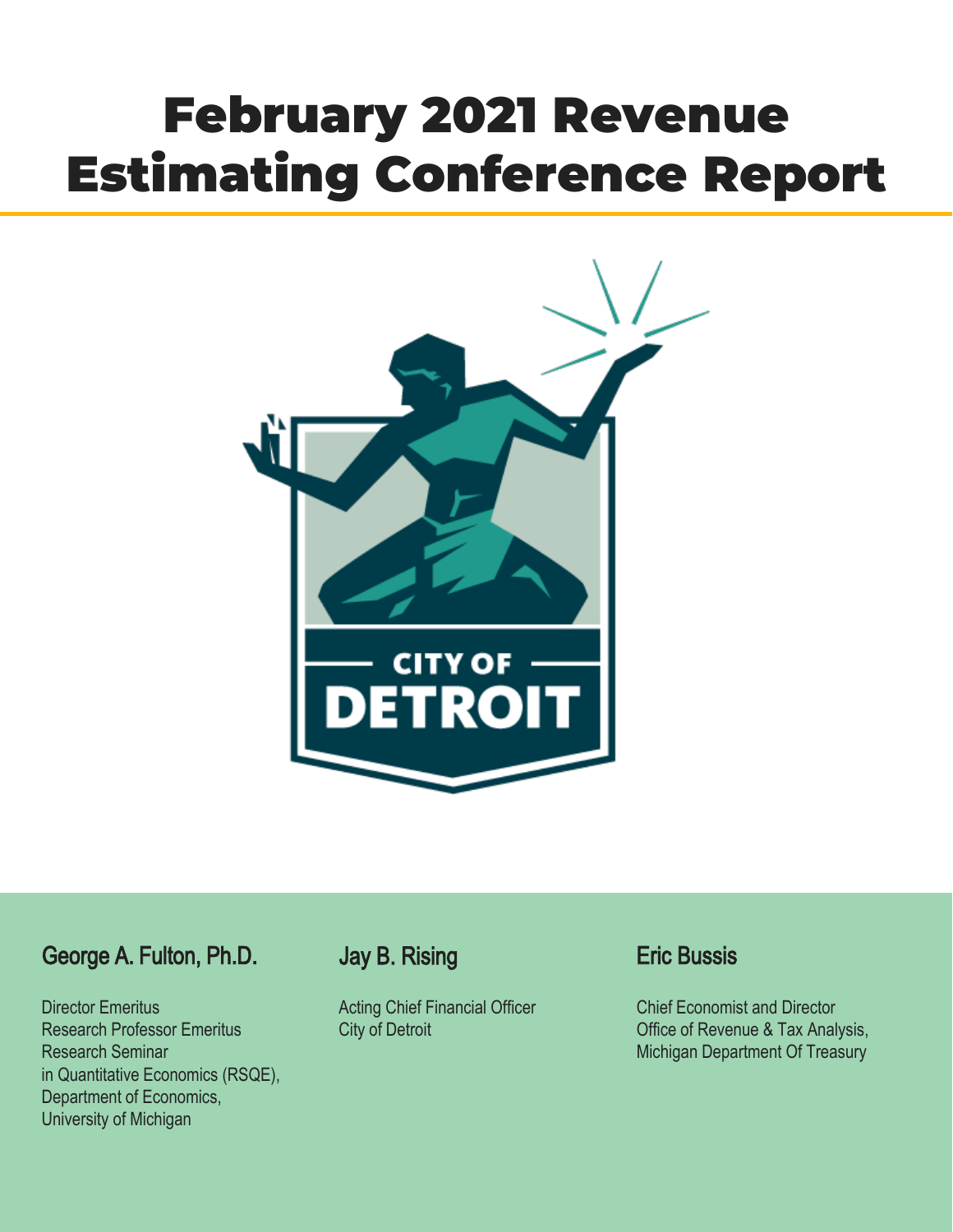# February 2021 Revenue Estimating Conference Report



# George A. Fulton, Ph.D.

Director Emeritus Research Professor Emeritus Research Seminar in Quantitative Economics (RSQE), Department of Economics, University of Michigan

# Jay B. Rising

Acting Chief Financial Officer City of Detroit

# Eric Bussis

Chief Economist and Director Office of Revenue & Tax Analysis, Michigan Department Of Treasury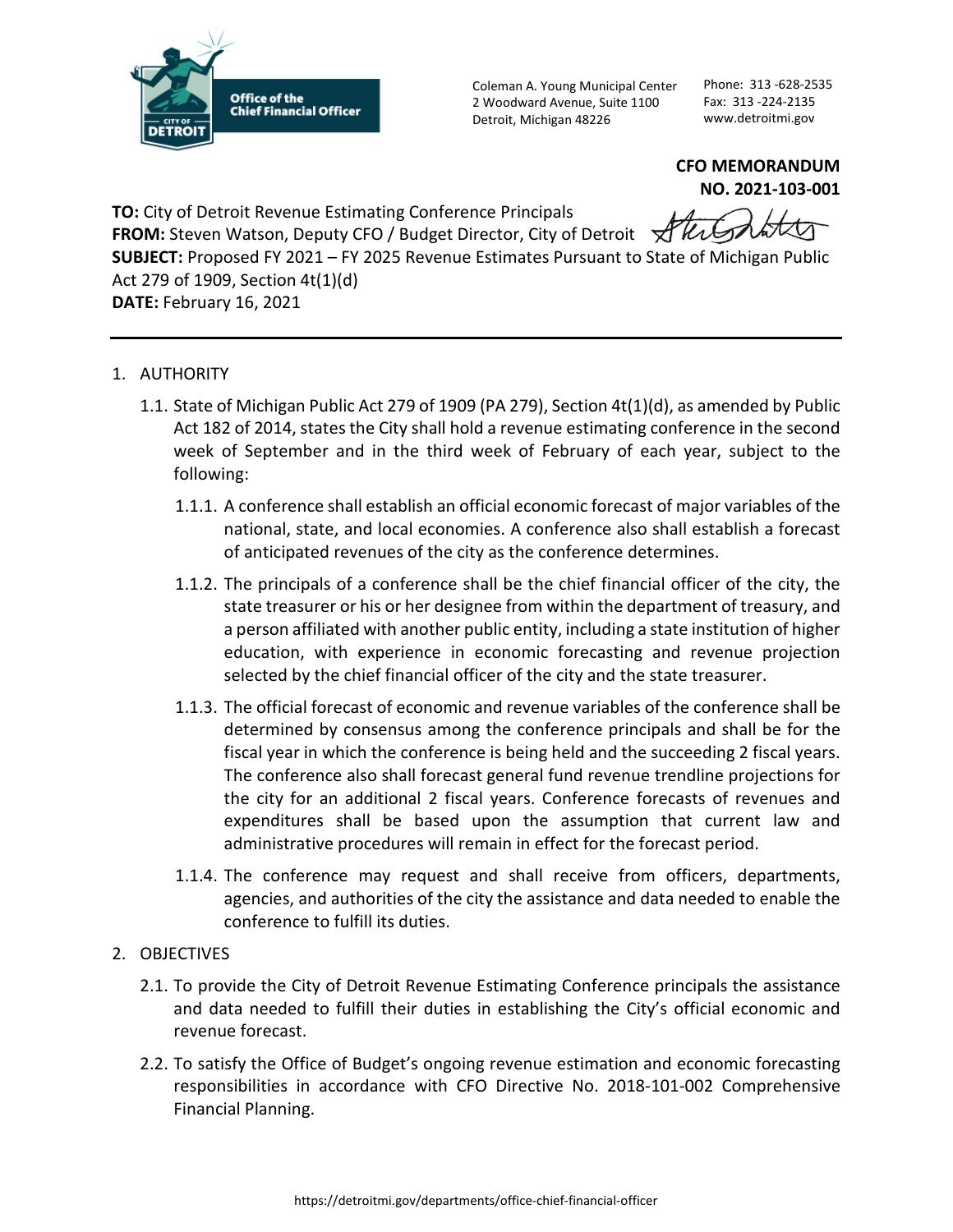

Coleman A. Young Municipal Center 2 Woodward Avenue, Suite 1100 Detroit, Michigan 48226

Phone: 313 -628-2535 Fax: 313 -224-2135 www.detroitmi.gov

**CFO MEMORANDUM NO. 2021-103-001**

**TO:** City of Detroit Revenue Estimating Conference Principals **FROM:** Steven Watson, Deputy CFO / Budget Director, City of Detroit Aller **SUBJECT:** Proposed FY 2021 – FY 2025 Revenue Estimates Pursuant to State of Michigan Public Act 279 of 1909, Section 4t(1)(d) **DATE:** February 16, 2021

- 1. AUTHORITY
	- 1.1. State of Michigan Public Act 279 of 1909 (PA 279), Section 4t(1)(d), as amended by Public Act 182 of 2014, states the City shall hold a revenue estimating conference in the second week of September and in the third week of February of each year, subject to the following:
		- 1.1.1. A conference shall establish an official economic forecast of major variables of the national, state, and local economies. A conference also shall establish a forecast of anticipated revenues of the city as the conference determines.
		- 1.1.2. The principals of a conference shall be the chief financial officer of the city, the state treasurer or his or her designee from within the department of treasury, and a person affiliated with another public entity, including a state institution of higher education, with experience in economic forecasting and revenue projection selected by the chief financial officer of the city and the state treasurer.
		- 1.1.3. The official forecast of economic and revenue variables of the conference shall be determined by consensus among the conference principals and shall be for the fiscal year in which the conference is being held and the succeeding 2 fiscal years. The conference also shall forecast general fund revenue trendline projections for the city for an additional 2 fiscal years. Conference forecasts of revenues and expenditures shall be based upon the assumption that current law and administrative procedures will remain in effect for the forecast period.
		- 1.1.4. The conference may request and shall receive from officers, departments, agencies, and authorities of the city the assistance and data needed to enable the conference to fulfill its duties.
- 2. OBJECTIVES
	- 2.1. To provide the City of Detroit Revenue Estimating Conference principals the assistance and data needed to fulfill their duties in establishing the City's official economic and revenue forecast.
	- 2.2. To satisfy the Office of Budget's ongoing revenue estimation and economic forecasting responsibilities in accordance with CFO Directive No. 2018-101-002 Comprehensive Financial Planning.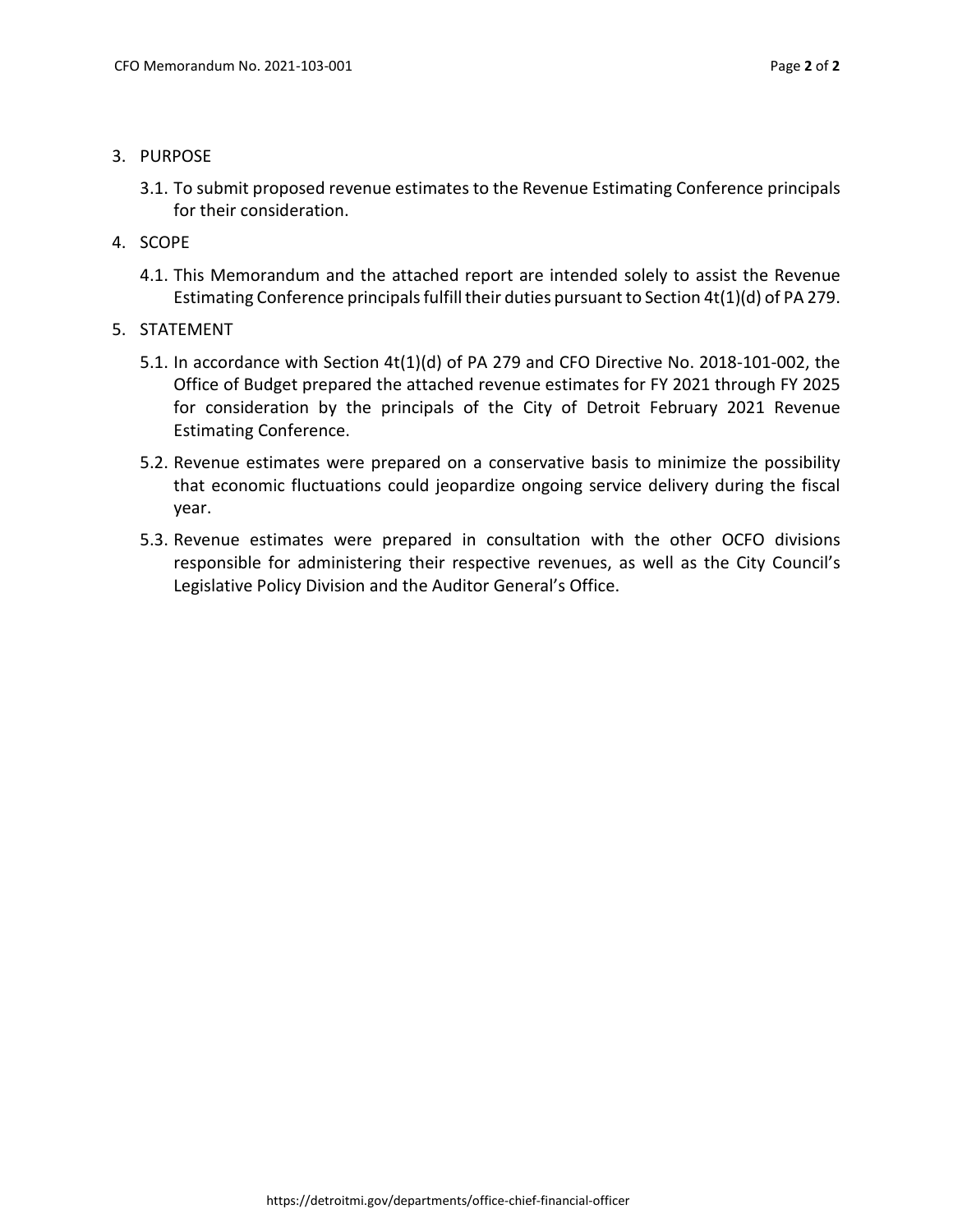- 3. PURPOSE
	- 3.1. To submit proposed revenue estimates to the Revenue Estimating Conference principals for their consideration.
- 4. SCOPE
	- 4.1. This Memorandum and the attached report are intended solely to assist the Revenue Estimating Conference principals fulfill their duties pursuant to Section 4t(1)(d) of PA 279.
- 5. STATEMENT
	- 5.1. In accordance with Section 4t(1)(d) of PA 279 and CFO Directive No. 2018-101-002, the Office of Budget prepared the attached revenue estimates for FY 2021 through FY 2025 for consideration by the principals of the City of Detroit February 2021 Revenue Estimating Conference.
	- 5.2. Revenue estimates were prepared on a conservative basis to minimize the possibility that economic fluctuations could jeopardize ongoing service delivery during the fiscal year.
	- 5.3. Revenue estimates were prepared in consultation with the other OCFO divisions responsible for administering their respective revenues, as well as the City Council's Legislative Policy Division and the Auditor General's Office.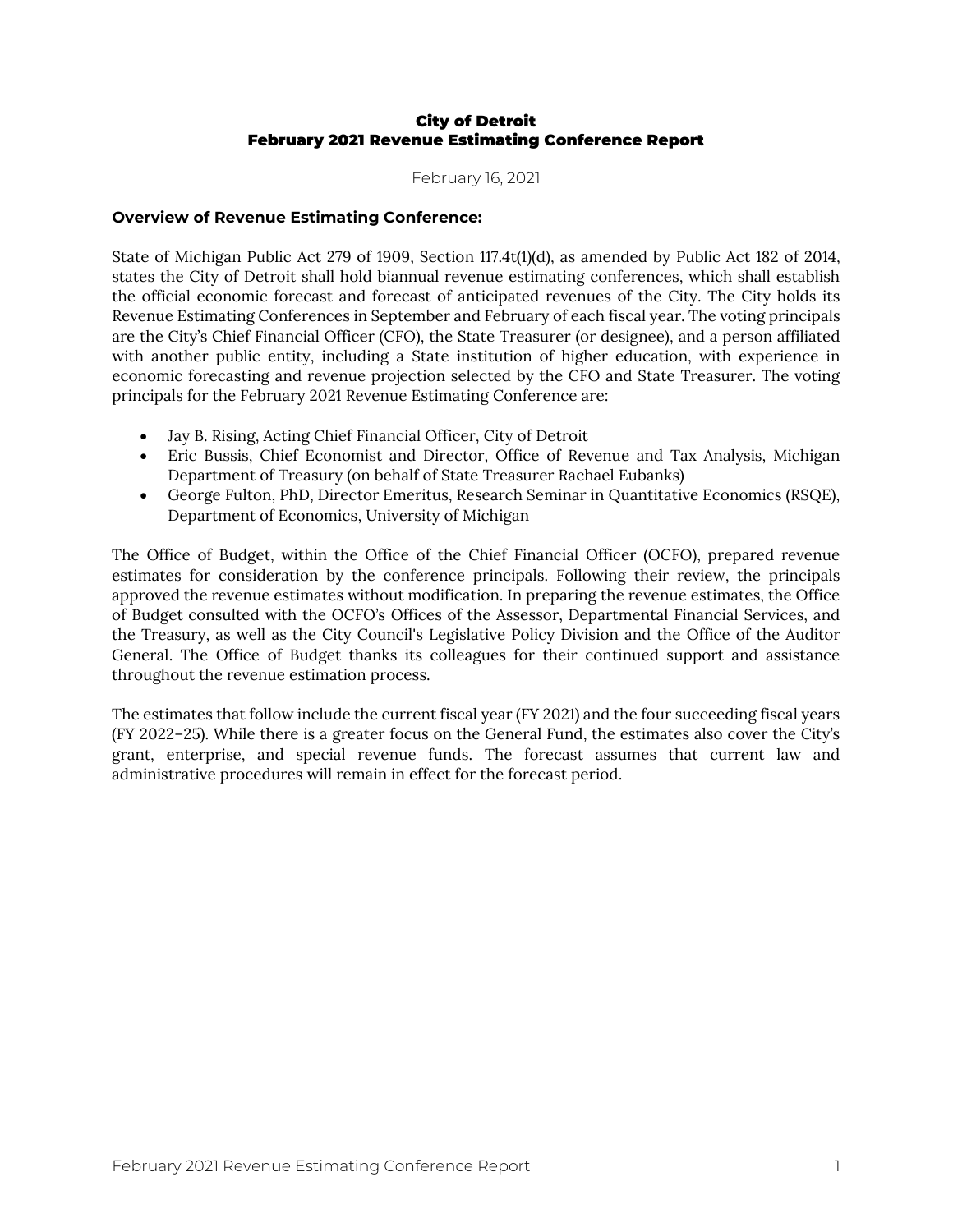#### City of Detroit February 2021 Revenue Estimating Conference Report

February 16, 2021

#### **Overview of Revenue Estimating Conference:**

State of Michigan Public Act 279 of 1909, Section 117.4t(1)(d), as amended by Public Act 182 of 2014, states the City of Detroit shall hold biannual revenue estimating conferences, which shall establish the official economic forecast and forecast of anticipated revenues of the City. The City holds its Revenue Estimating Conferences in September and February of each fiscal year. The voting principals are the City's Chief Financial Officer (CFO), the State Treasurer (or designee), and a person affiliated with another public entity, including a State institution of higher education, with experience in economic forecasting and revenue projection selected by the CFO and State Treasurer. The voting principals for the February 2021 Revenue Estimating Conference are:

- Jay B. Rising, Acting Chief Financial Officer, City of Detroit
- Eric Bussis, Chief Economist and Director, Office of Revenue and Tax Analysis, Michigan Department of Treasury (on behalf of State Treasurer Rachael Eubanks)
- George Fulton, PhD, Director Emeritus, Research Seminar in Quantitative Economics (RSQE), Department of Economics, University of Michigan

The Office of Budget, within the Office of the Chief Financial Officer (OCFO), prepared revenue estimates for consideration by the conference principals. Following their review, the principals approved the revenue estimates without modification. In preparing the revenue estimates, the Office of Budget consulted with the OCFO's Offices of the Assessor, Departmental Financial Services, and the Treasury, as well as the City Council's Legislative Policy Division and the Office of the Auditor General. The Office of Budget thanks its colleagues for their continued support and assistance throughout the revenue estimation process.

The estimates that follow include the current fiscal year (FY 2021) and the four succeeding fiscal years (FY 2022–25). While there is a greater focus on the General Fund, the estimates also cover the City's grant, enterprise, and special revenue funds. The forecast assumes that current law and administrative procedures will remain in effect for the forecast period.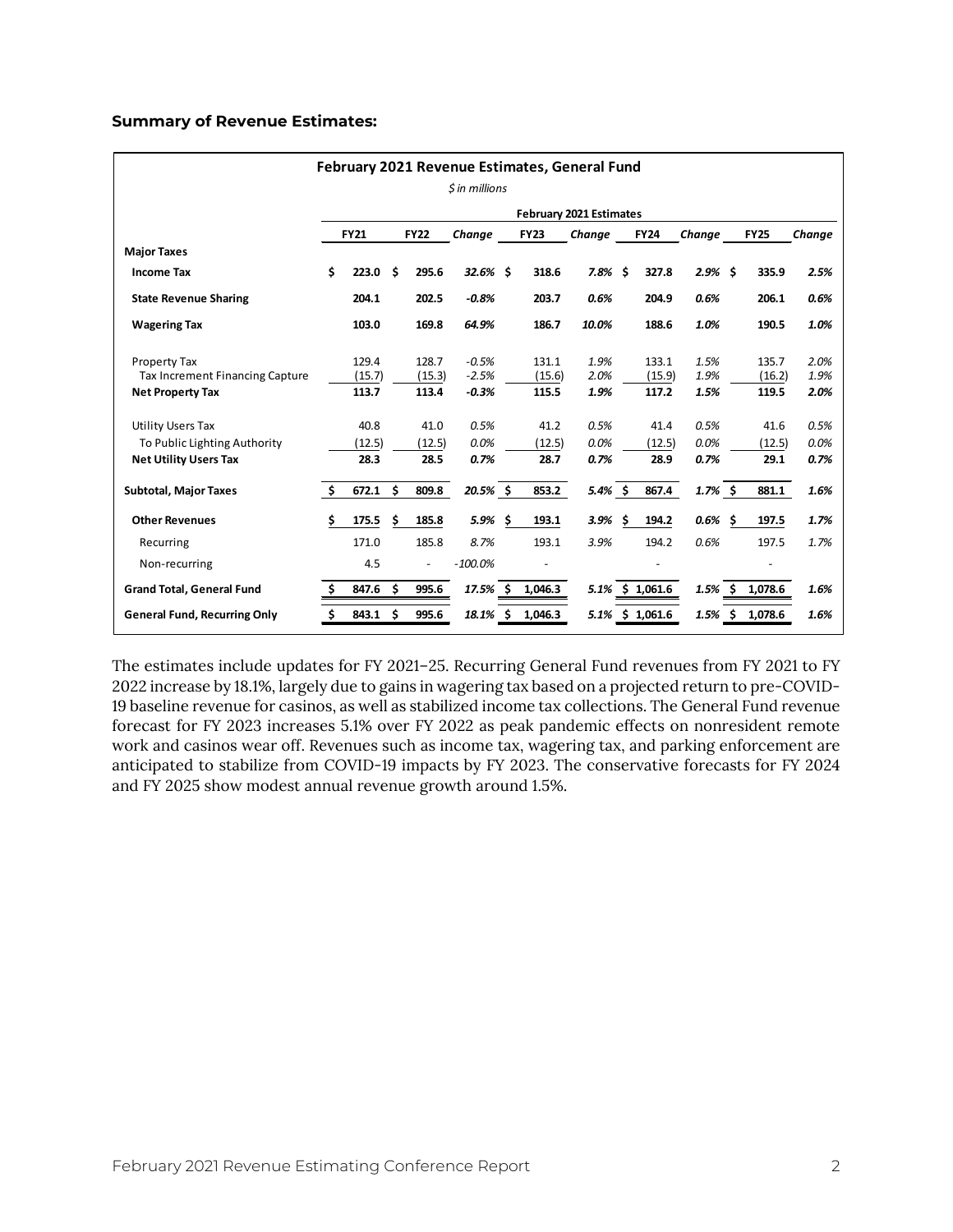#### **Summary of Revenue Estimates:**

| February 2021 Revenue Estimates, General Fund          |     |                 |     |                          |                    |   |                         |              |    |                 |              |     |                 |              |
|--------------------------------------------------------|-----|-----------------|-----|--------------------------|--------------------|---|-------------------------|--------------|----|-----------------|--------------|-----|-----------------|--------------|
|                                                        |     |                 |     |                          | \$ in millions     |   |                         |              |    |                 |              |     |                 |              |
|                                                        |     |                 |     |                          |                    |   | February 2021 Estimates |              |    |                 |              |     |                 |              |
|                                                        |     | <b>FY21</b>     |     | <b>FY22</b>              | Change             |   | <b>FY23</b>             | Change       |    | <b>FY24</b>     | Change       |     | <b>FY25</b>     | Change       |
| <b>Major Taxes</b>                                     |     |                 |     |                          |                    |   |                         |              |    |                 |              |     |                 |              |
| <b>Income Tax</b>                                      | \$  | 223.0           | \$. | 295.6                    | $32.6%$ \$         |   | 318.6                   | 7.8%         | Ŝ. | 327.8           | $2.9\%$ \$   |     | 335.9           | 2.5%         |
| <b>State Revenue Sharing</b>                           |     | 204.1           |     | 202.5                    | $-0.8%$            |   | 203.7                   | 0.6%         |    | 204.9           | 0.6%         |     | 206.1           | 0.6%         |
| <b>Wagering Tax</b>                                    |     | 103.0           |     | 169.8                    | 64.9%              |   | 186.7                   | 10.0%        |    | 188.6           | 1.0%         |     | 190.5           | 1.0%         |
| Property Tax<br><b>Tax Increment Financing Capture</b> |     | 129.4<br>(15.7) |     | 128.7<br>(15.3)          | $-0.5%$<br>$-2.5%$ |   | 131.1<br>(15.6)         | 1.9%<br>2.0% |    | 133.1<br>(15.9) | 1.5%<br>1.9% |     | 135.7<br>(16.2) | 2.0%<br>1.9% |
| <b>Net Property Tax</b>                                |     | 113.7           |     | 113.4                    | $-0.3%$            |   | 115.5                   | 1.9%         |    | 117.2           | 1.5%         |     | 119.5           | 2.0%         |
| <b>Utility Users Tax</b>                               |     | 40.8            |     | 41.0                     | 0.5%               |   | 41.2                    | 0.5%         |    | 41.4            | 0.5%         |     | 41.6            | 0.5%         |
| To Public Lighting Authority                           |     | (12.5)          |     | (12.5)                   | 0.0%               |   | (12.5)                  | 0.0%         |    | (12.5)          | 0.0%         |     | (12.5)          | 0.0%         |
| <b>Net Utility Users Tax</b>                           |     | 28.3            |     | 28.5                     | 0.7%               |   | 28.7                    | 0.7%         |    | 28.9            | 0.7%         |     | 29.1            | 0.7%         |
| <b>Subtotal, Major Taxes</b>                           | \$. | 672.1           | \$. | 809.8                    | $20.5\%$ \$        |   | 853.2                   | 5.4%\$       |    | 867.4           | $1.7\%$ \$   |     | 881.1           | 1.6%         |
| <b>Other Revenues</b>                                  | \$  | 175.5           | \$. | 185.8                    | $5.9\%$ \$         |   | 193.1                   | 3.9%         | Ŝ. | 194.2           | 0.6%         | -\$ | 197.5           | 1.7%         |
| Recurring                                              |     | 171.0           |     | 185.8                    | 8.7%               |   | 193.1                   | 3.9%         |    | 194.2           | 0.6%         |     | 197.5           | 1.7%         |
| Non-recurring                                          |     | 4.5             |     | $\overline{\phantom{a}}$ | $-100.0%$          |   |                         |              |    |                 |              |     |                 |              |
| <b>Grand Total, General Fund</b>                       | \$. | 847.6           | \$. | 995.6                    | 17.5%              |   | 1,046.3                 | 5.1%         |    | \$1,061.6       | $1.5%$ \$    |     | 1,078.6         | 1.6%         |
| <b>General Fund, Recurring Only</b>                    | \$  | 843.1           | \$. | 995.6                    | 18.1%              | Ŝ | 1,046.3                 | 5.1%         |    | \$1,061.6       | 1.5%         | \$. | 1,078.6         | 1.6%         |

The estimates include updates for FY 2021–25. Recurring General Fund revenues from FY 2021 to FY 2022 increase by 18.1%, largely due to gains in wagering tax based on a projected return to pre-COVID-19 baseline revenue for casinos, as well as stabilized income tax collections. The General Fund revenue forecast for FY 2023 increases 5.1% over FY 2022 as peak pandemic effects on nonresident remote work and casinos wear off. Revenues such as income tax, wagering tax, and parking enforcement are anticipated to stabilize from COVID-19 impacts by FY 2023. The conservative forecasts for FY 2024 and FY 2025 show modest annual revenue growth around 1.5%.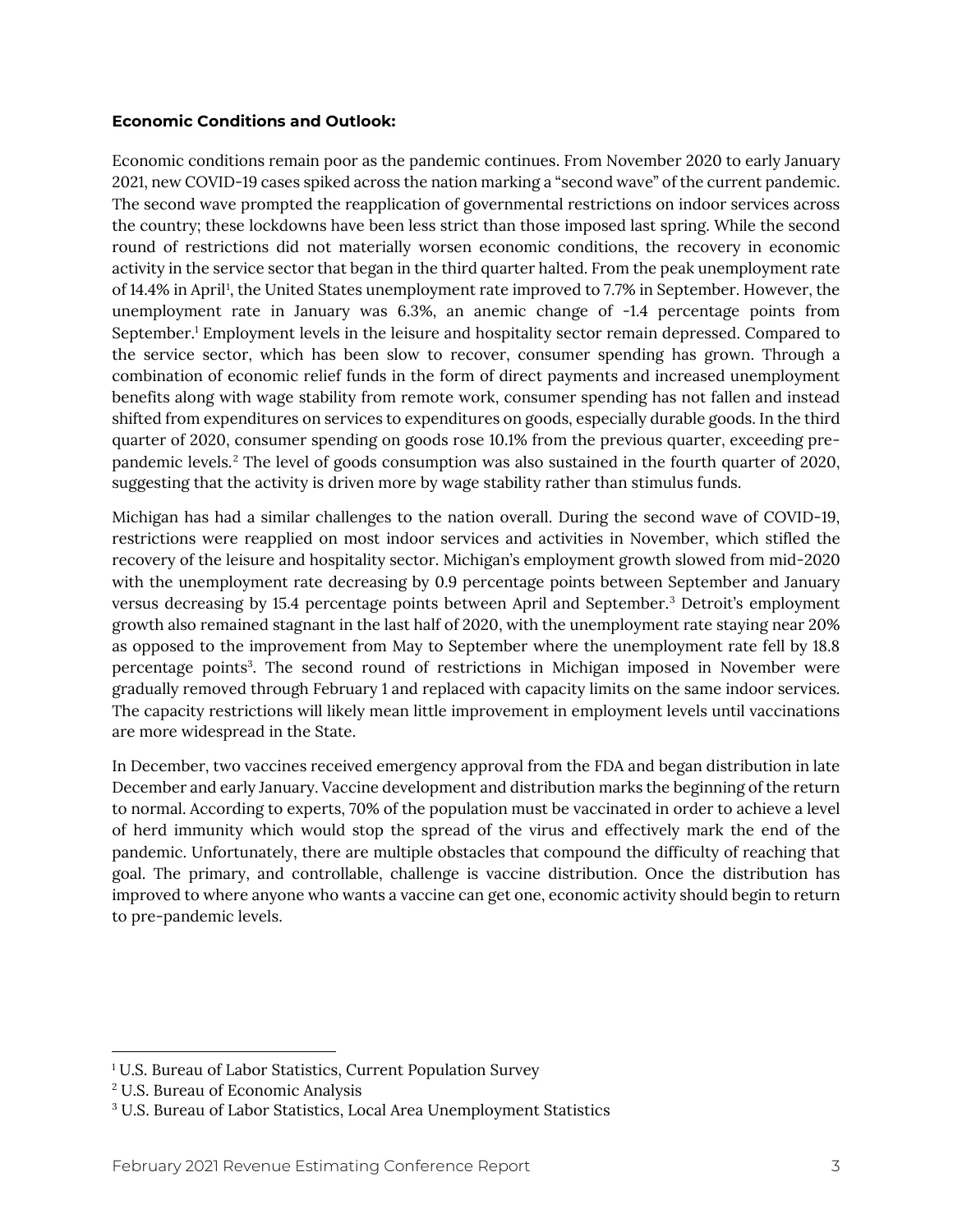#### **Economic Conditions and Outlook:**

Economic conditions remain poor as the pandemic continues. From November 2020 to early January 2021, new COVID-19 cases spiked across the nation marking a "second wave" of the current pandemic. The second wave prompted the reapplication of governmental restrictions on indoor services across the country; these lockdowns have been less strict than those imposed last spring. While the second round of restrictions did not materially worsen economic conditions, the recovery in economic activity in the service sector that began in the third quarter halted. From the peak unemployment rate of [1](#page-5-0)4.4% in April<sup>1</sup>, the United States unemployment rate improved to 7.7% in September. However, the unemployment rate in January was 6.3%, an anemic change of -1.4 percentage points from September. <sup>1</sup> Employment levels in the leisure and hospitality sector remain depressed. Compared to the service sector, which has been slow to recover, consumer spending has grown. Through a combination of economic relief funds in the form of direct payments and increased unemployment benefits along with wage stability from remote work, consumer spending has not fallen and instead shifted from expenditures on services to expenditures on goods, especially durable goods. In the third quarter of 2020, consumer spending on goods rose 10.1% from the previous quarter, exceeding prepandemic levels. [2](#page-5-1) The level of goods consumption was also sustained in the fourth quarter of 2020, suggesting that the activity is driven more by wage stability rather than stimulus funds.

Michigan has had a similar challenges to the nation overall. During the second wave of COVID-19, restrictions were reapplied on most indoor services and activities in November, which stifled the recovery of the leisure and hospitality sector. Michigan's employment growth slowed from mid-2020 with the unemployment rate decreasing by 0.9 percentage points between September and January versus decreasing by 15.4 percentage points between April and September. [3](#page-5-2) Detroit's employment growth also remained stagnant in the last half of 2020, with the unemployment rate staying near 20% as opposed to the improvement from May to September where the unemployment rate fell by 18.8 percentage points<sup>3</sup>. The second round of restrictions in Michigan imposed in November were gradually removed through February 1 and replaced with capacity limits on the same indoor services. The capacity restrictions will likely mean little improvement in employment levels until vaccinations are more widespread in the State.

In December, two vaccines received emergency approval from the FDA and began distribution in late December and early January. Vaccine development and distribution marks the beginning of the return to normal. According to experts, 70% of the population must be vaccinated in order to achieve a level of herd immunity which would stop the spread of the virus and effectively mark the end of the pandemic. Unfortunately, there are multiple obstacles that compound the difficulty of reaching that goal. The primary, and controllable, challenge is vaccine distribution. Once the distribution has improved to where anyone who wants a vaccine can get one, economic activity should begin to return to pre-pandemic levels.

l

<span id="page-5-0"></span><sup>&</sup>lt;sup>1</sup> U.S. Bureau of Labor Statistics, Current Population Survey

<span id="page-5-1"></span><sup>2</sup> U.S. Bureau of Economic Analysis

<span id="page-5-2"></span><sup>3</sup> U.S. Bureau of Labor Statistics, Local Area Unemployment Statistics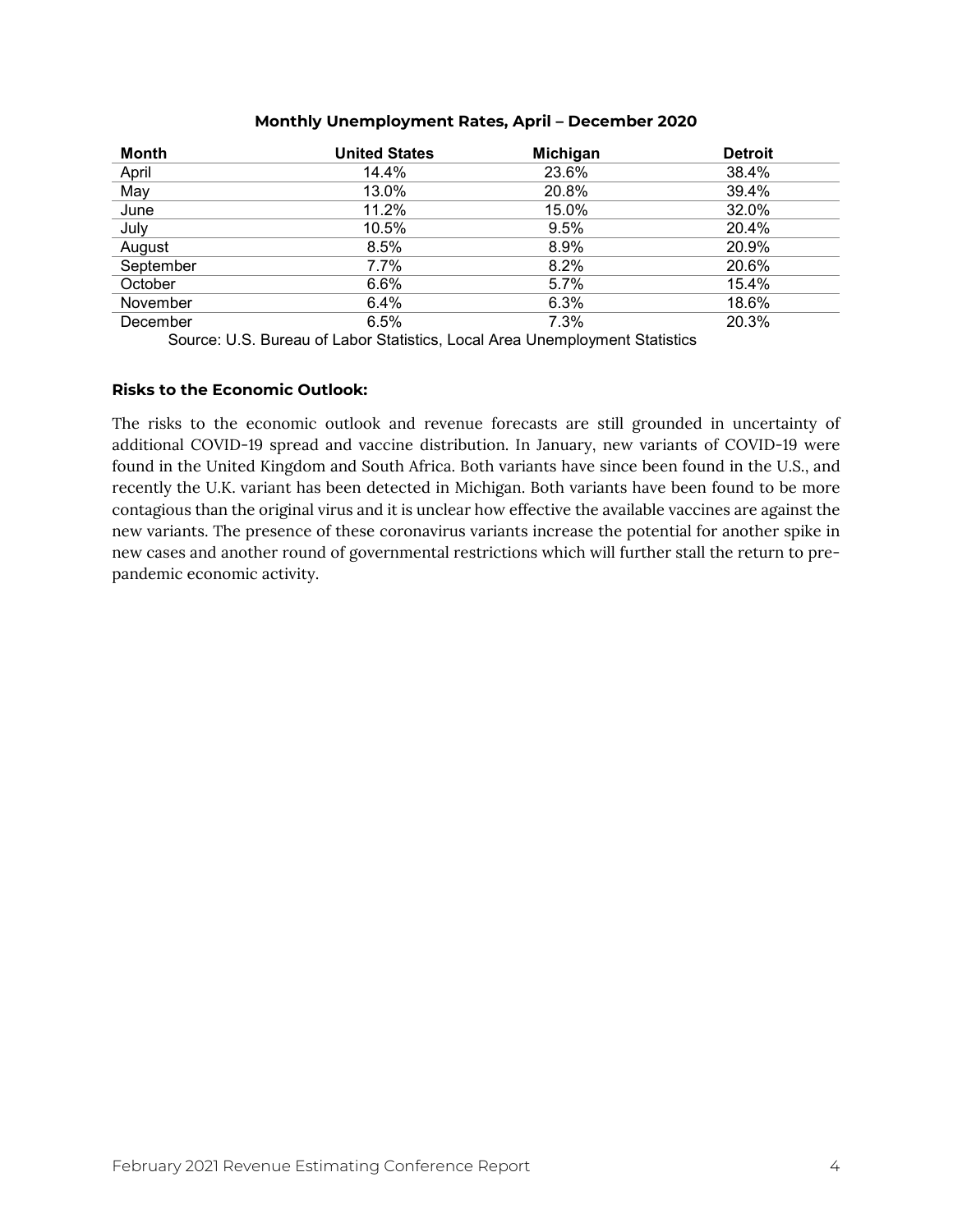#### **Monthly Unemployment Rates, April – December 2020**

| <b>Month</b> | <b>United States</b> | Michigan | <b>Detroit</b> |
|--------------|----------------------|----------|----------------|
| April        | 14.4%                | 23.6%    | 38.4%          |
| May          | 13.0%                | 20.8%    | 39.4%          |
| June         | 11.2%                | 15.0%    | 32.0%          |
| July         | 10.5%                | 9.5%     | 20.4%          |
| August       | 8.5%                 | 8.9%     | 20.9%          |
| September    | 7.7%                 | 8.2%     | 20.6%          |
| October      | 6.6%                 | 5.7%     | 15.4%          |
| November     | 6.4%                 | 6.3%     | 18.6%          |
| December     | 6.5%                 | 7.3%     | 20.3%          |

Source: U.S. Bureau of Labor Statistics, Local Area Unemployment Statistics

#### **Risks to the Economic Outlook:**

The risks to the economic outlook and revenue forecasts are still grounded in uncertainty of additional COVID-19 spread and vaccine distribution. In January, new variants of COVID-19 were found in the United Kingdom and South Africa. Both variants have since been found in the U.S., and recently the U.K. variant has been detected in Michigan. Both variants have been found to be more contagious than the original virus and it is unclear how effective the available vaccines are against the new variants. The presence of these coronavirus variants increase the potential for another spike in new cases and another round of governmental restrictions which will further stall the return to prepandemic economic activity.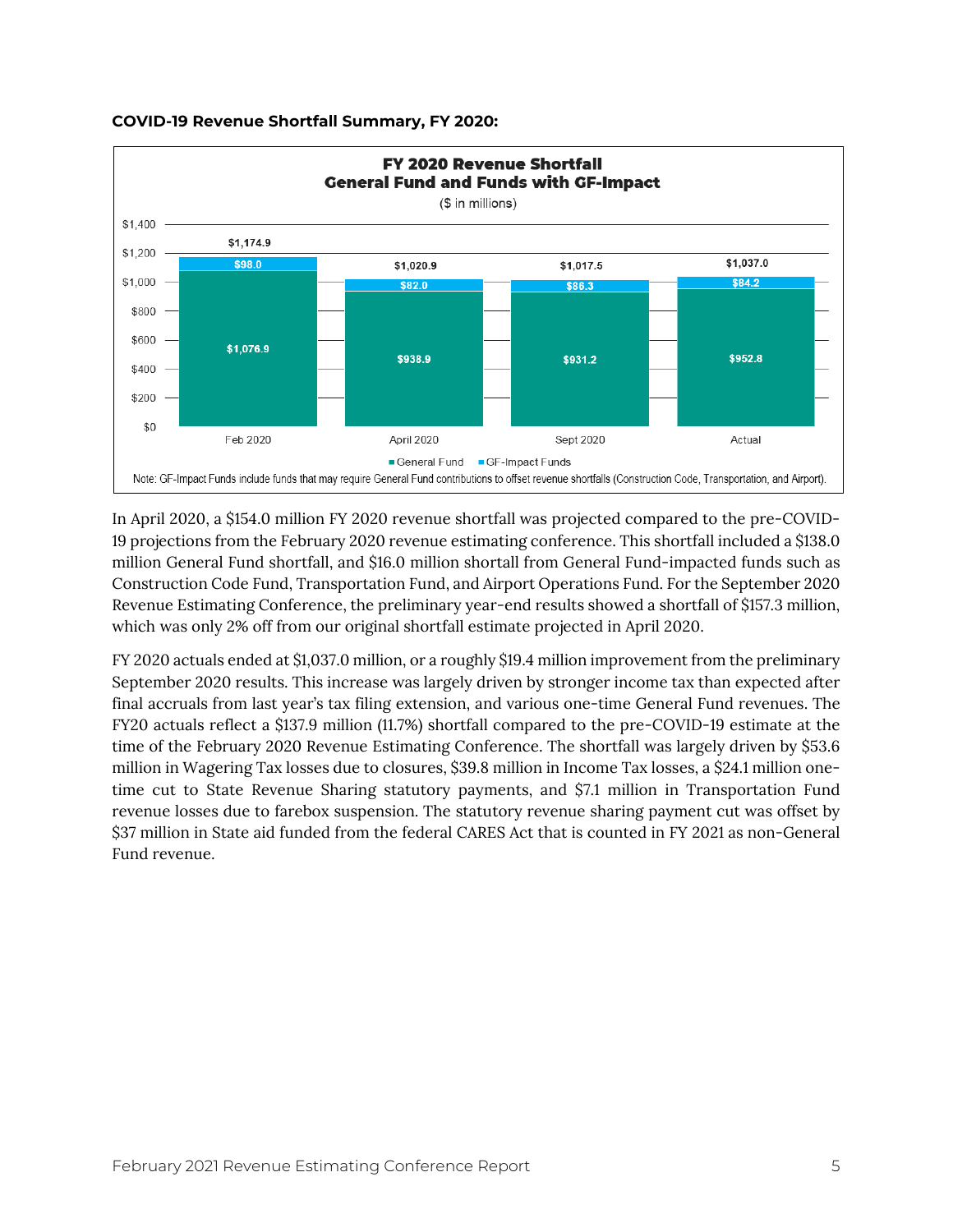

#### **COVID-19 Revenue Shortfall Summary, FY 2020:**

In April 2020, a \$154.0 million FY 2020 revenue shortfall was projected compared to the pre-COVID-19 projections from the February 2020 revenue estimating conference. This shortfall included a \$138.0 million General Fund shortfall, and \$16.0 million shortall from General Fund-impacted funds such as Construction Code Fund, Transportation Fund, and Airport Operations Fund. For the September 2020 Revenue Estimating Conference, the preliminary year-end results showed a shortfall of \$157.3 million, which was only 2% off from our original shortfall estimate projected in April 2020.

FY 2020 actuals ended at \$1,037.0 million, or a roughly \$19.4 million improvement from the preliminary September 2020 results. This increase was largely driven by stronger income tax than expected after final accruals from last year's tax filing extension, and various one-time General Fund revenues. The FY20 actuals reflect a \$137.9 million (11.7%) shortfall compared to the pre-COVID-19 estimate at the time of the February 2020 Revenue Estimating Conference. The shortfall was largely driven by \$53.6 million in Wagering Tax losses due to closures, \$39.8 million in Income Tax losses, a \$24.1 million onetime cut to State Revenue Sharing statutory payments, and \$7.1 million in Transportation Fund revenue losses due to farebox suspension. The statutory revenue sharing payment cut was offset by \$37 million in State aid funded from the federal CARES Act that is counted in FY 2021 as non-General Fund revenue.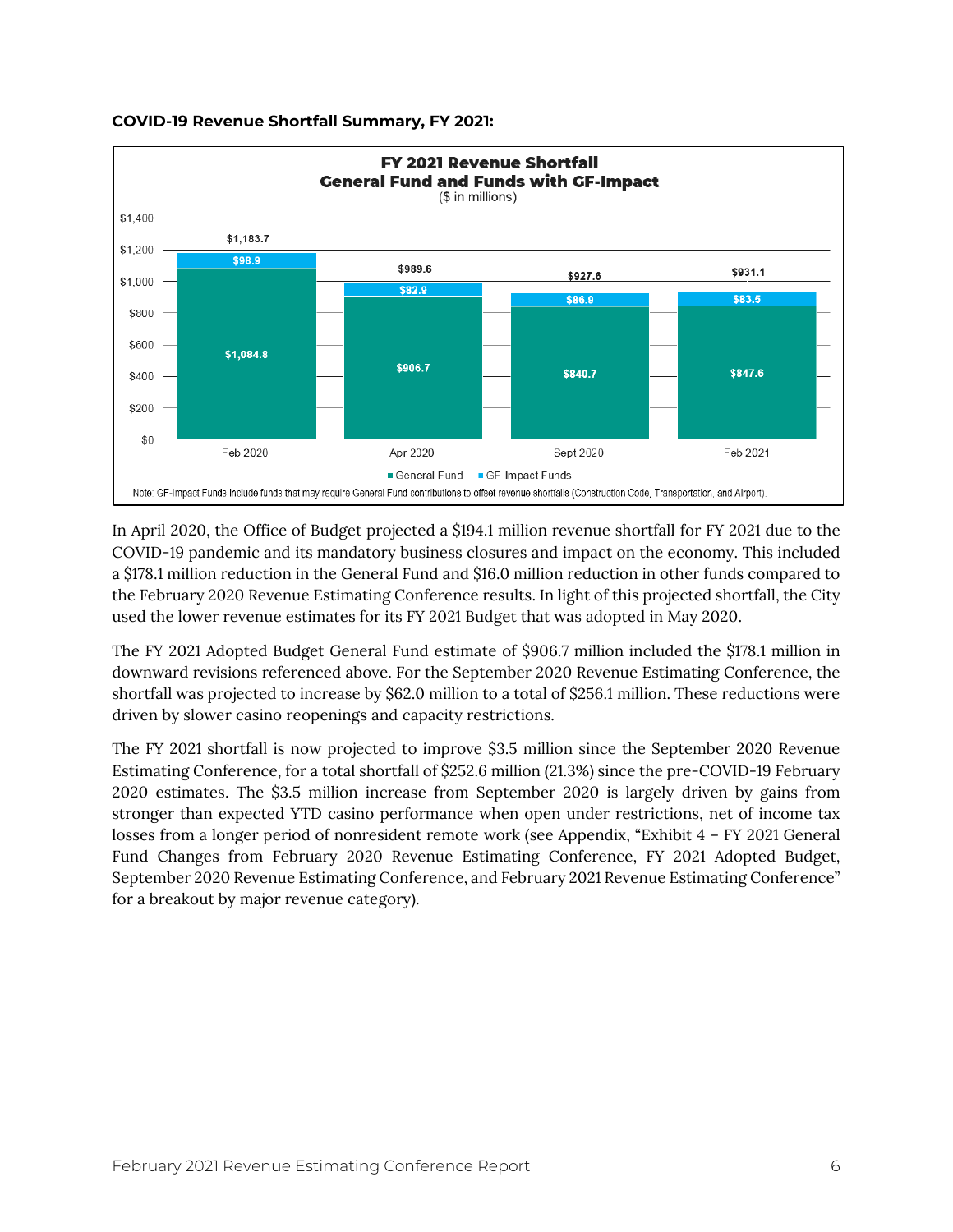

## **COVID-19 Revenue Shortfall Summary, FY 2021:**

In April 2020, the Office of Budget projected a \$194.1 million revenue shortfall for FY 2021 due to the COVID-19 pandemic and its mandatory business closures and impact on the economy. This included a \$178.1 million reduction in the General Fund and \$16.0 million reduction in other funds compared to the February 2020 Revenue Estimating Conference results. In light of this projected shortfall, the City used the lower revenue estimates for its FY 2021 Budget that was adopted in May 2020.

The FY 2021 Adopted Budget General Fund estimate of \$906.7 million included the \$178.1 million in downward revisions referenced above. For the September 2020 Revenue Estimating Conference, the shortfall was projected to increase by \$62.0 million to a total of \$256.1 million. These reductions were driven by slower casino reopenings and capacity restrictions.

The FY 2021 shortfall is now projected to improve \$3.5 million since the September 2020 Revenue Estimating Conference, for a total shortfall of \$252.6 million (21.3%) since the pre-COVID-19 February 2020 estimates. The \$3.5 million increase from September 2020 is largely driven by gains from stronger than expected YTD casino performance when open under restrictions, net of income tax losses from a longer period of nonresident remote work (see Appendix, "Exhibit 4 – FY 2021 General Fund Changes from February 2020 Revenue Estimating Conference, FY 2021 Adopted Budget, September 2020 Revenue Estimating Conference, and February 2021 Revenue Estimating Conference" for a breakout by major revenue category).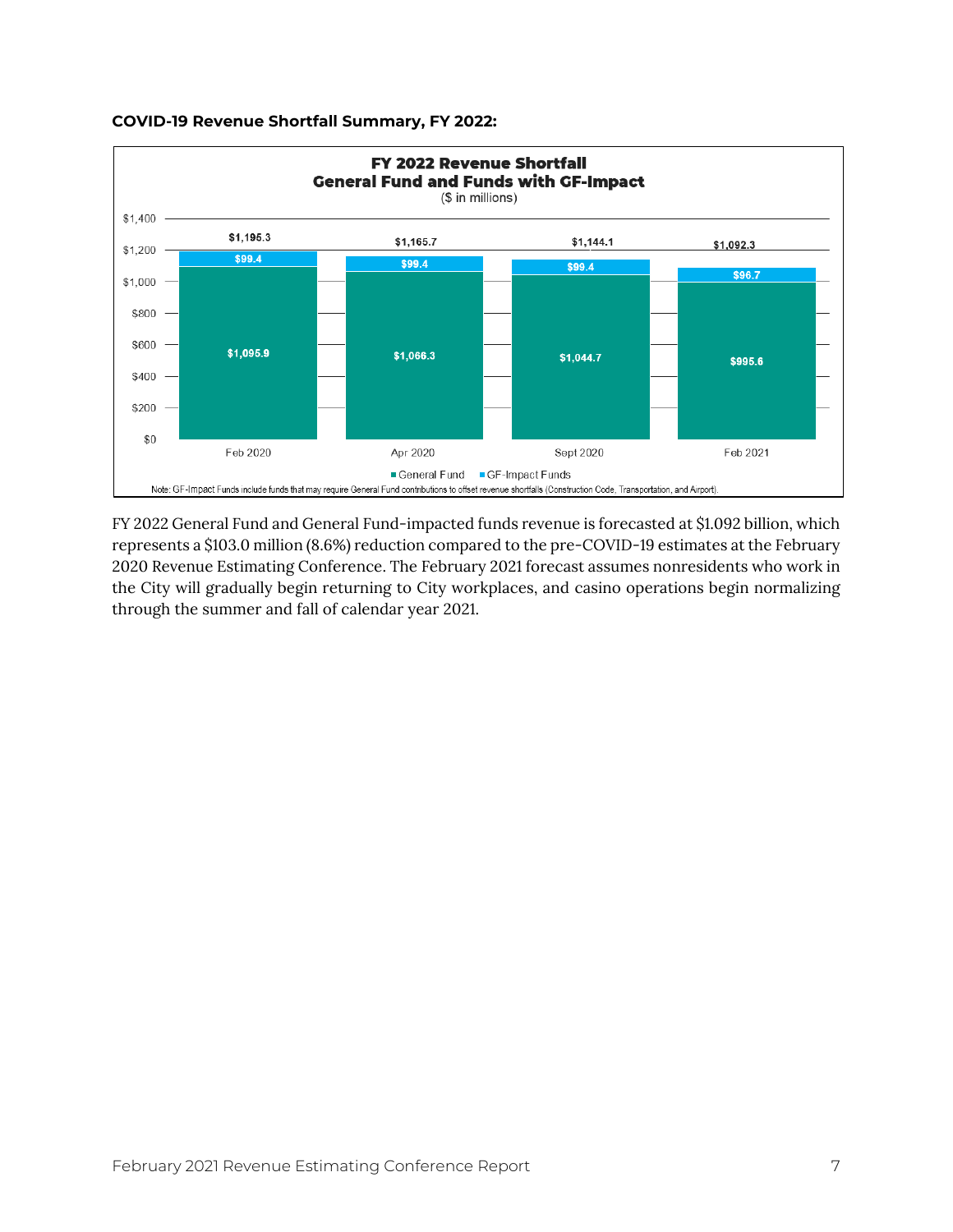

#### **COVID-19 Revenue Shortfall Summary, FY 2022:**

FY 2022 General Fund and General Fund-impacted funds revenue is forecasted at \$1.092 billion, which represents a \$103.0 million (8.6%) reduction compared to the pre-COVID-19 estimates at the February 2020 Revenue Estimating Conference. The February 2021 forecast assumes nonresidents who work in the City will gradually begin returning to City workplaces, and casino operations begin normalizing through the summer and fall of calendar year 2021.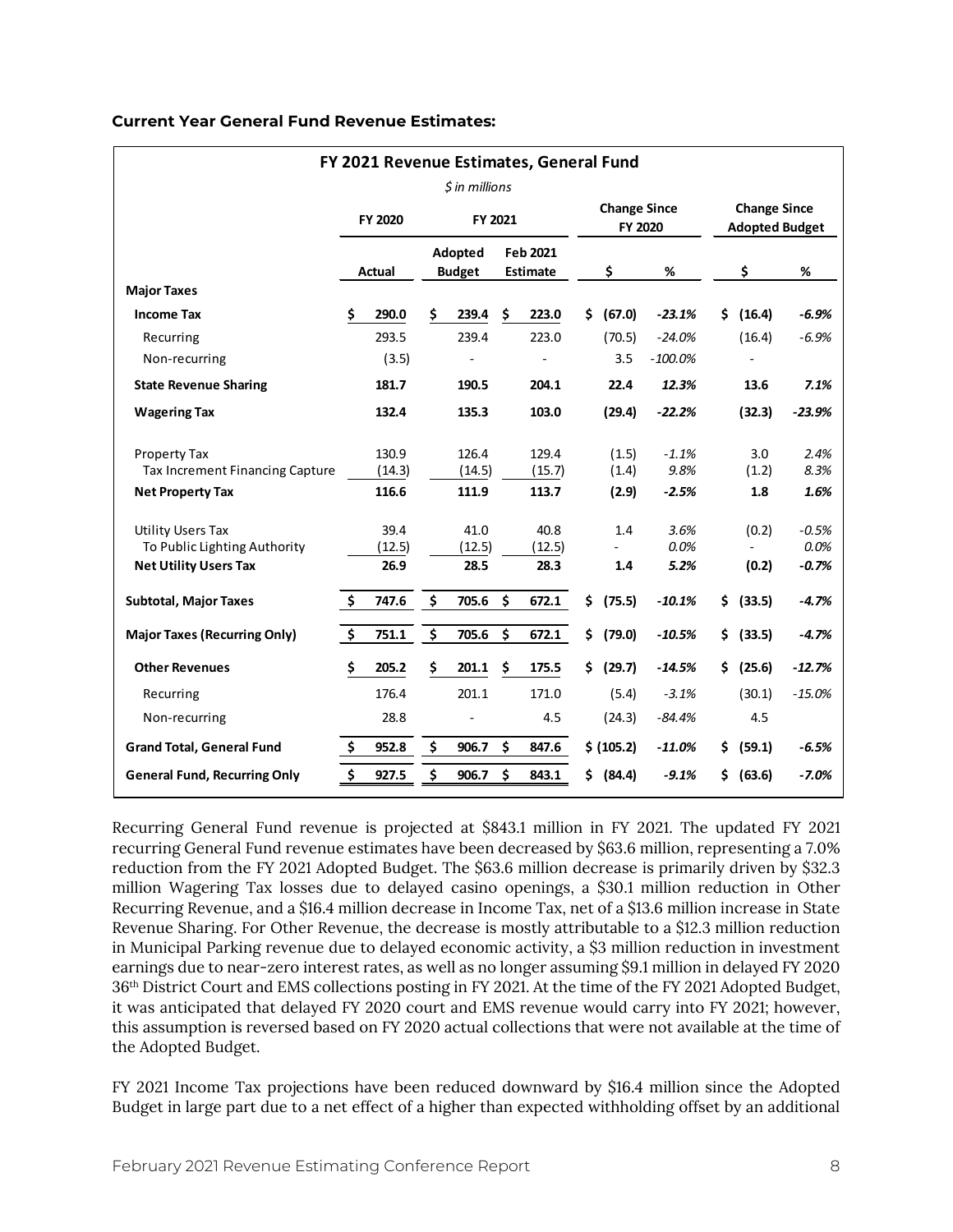#### **Current Year General Fund Revenue Estimates:**

| FY 2021 Revenue Estimates, General Fund                                                  |                     |                        |    |                             |     |                        |     |                                |                      |     |                                              |                            |  |
|------------------------------------------------------------------------------------------|---------------------|------------------------|----|-----------------------------|-----|------------------------|-----|--------------------------------|----------------------|-----|----------------------------------------------|----------------------------|--|
|                                                                                          |                     |                        |    | <i><b>S</b></i> in millions |     |                        |     |                                |                      |     |                                              |                            |  |
|                                                                                          |                     | FY 2020                |    | FY 2021                     |     |                        |     | <b>Change Since</b><br>FY 2020 |                      |     | <b>Change Since</b><br><b>Adopted Budget</b> |                            |  |
|                                                                                          |                     | <b>Actual</b>          |    | Adopted<br><b>Budget</b>    |     | Feb 2021<br>Estimate   |     | \$                             | %                    |     | \$                                           | %                          |  |
| <b>Major Taxes</b>                                                                       |                     |                        |    |                             |     |                        |     |                                |                      |     |                                              |                            |  |
| <b>Income Tax</b>                                                                        | \$                  | 290.0                  | \$ | 239.4                       | \$. | 223.0                  | Ś.  | (67.0)                         | $-23.1%$             | Ŝ.  | (16.4)                                       | $-6.9%$                    |  |
| Recurring                                                                                |                     | 293.5                  |    | 239.4                       |     | 223.0                  |     | (70.5)                         | $-24.0%$             |     | (16.4)                                       | $-6.9%$                    |  |
| Non-recurring                                                                            |                     | (3.5)                  |    |                             |     |                        |     | 3.5                            | $-100.0%$            |     |                                              |                            |  |
| <b>State Revenue Sharing</b>                                                             |                     | 181.7                  |    | 190.5                       |     | 204.1                  |     | 22.4                           | 12.3%                |     | 13.6                                         | 7.1%                       |  |
| <b>Wagering Tax</b>                                                                      |                     | 132.4                  |    | 135.3                       |     | 103.0                  |     | (29.4)                         | $-22.2%$             |     | (32.3)                                       | $-23.9%$                   |  |
| Property Tax<br><b>Tax Increment Financing Capture</b>                                   |                     | 130.9<br>(14.3)        |    | 126.4<br>(14.5)             |     | 129.4<br>(15.7)        |     | (1.5)<br>(1.4)                 | $-1.1%$<br>9.8%      |     | 3.0<br>(1.2)                                 | 2.4%<br>8.3%               |  |
| <b>Net Property Tax</b>                                                                  |                     | 116.6                  |    | 111.9                       |     | 113.7                  |     | (2.9)                          | $-2.5%$              |     | 1.8                                          | 1.6%                       |  |
| <b>Utility Users Tax</b><br>To Public Lighting Authority<br><b>Net Utility Users Tax</b> |                     | 39.4<br>(12.5)<br>26.9 |    | 41.0<br>(12.5)<br>28.5      |     | 40.8<br>(12.5)<br>28.3 |     | 1.4<br>1.4                     | 3.6%<br>0.0%<br>5.2% |     | (0.2)<br>(0.2)                               | $-0.5%$<br>0.0%<br>$-0.7%$ |  |
| <b>Subtotal, Major Taxes</b>                                                             | \$                  | 747.6                  | \$ | 705.6                       | \$  | 672.1                  | \$. | (75.5)                         | $-10.1%$             | \$  | (33.5)                                       | $-4.7%$                    |  |
| <b>Major Taxes (Recurring Only)</b>                                                      | $\ddot{\bm{\zeta}}$ | 751.1                  | \$ | 705.6                       | \$  | 672.1                  | \$. | (79.0)                         | $-10.5%$             | \$. | (33.5)                                       | $-4.7%$                    |  |
| <b>Other Revenues</b>                                                                    | \$                  | 205.2                  | Ś  | 201.1                       | \$  | 175.5                  | Ś.  | (29.7)                         | $-14.5%$             | \$. | (25.6)                                       | $-12.7%$                   |  |
| Recurring                                                                                |                     | 176.4                  |    | 201.1                       |     | 171.0                  |     | (5.4)                          | $-3.1%$              |     | (30.1)                                       | $-15.0%$                   |  |
| Non-recurring                                                                            |                     | 28.8                   |    |                             |     | 4.5                    |     | (24.3)                         | $-84.4%$             |     | 4.5                                          |                            |  |
| <b>Grand Total, General Fund</b>                                                         | \$                  | 952.8                  | \$ | 906.7                       | \$  | 847.6                  |     | \$ (105.2)                     | $-11.0%$             | \$. | (59.1)                                       | $-6.5%$                    |  |
| <b>General Fund, Recurring Only</b>                                                      | \$                  | 927.5                  | \$ | 906.7                       | \$  | 843.1                  | \$. | (84.4)                         | $-9.1%$              | \$. | (63.6)                                       | $-7.0%$                    |  |

Recurring General Fund revenue is projected at \$843.1 million in FY 2021. The updated FY 2021 recurring General Fund revenue estimates have been decreased by \$63.6 million, representing a 7.0% reduction from the FY 2021 Adopted Budget. The \$63.6 million decrease is primarily driven by \$32.3 million Wagering Tax losses due to delayed casino openings, a \$30.1 million reduction in Other Recurring Revenue, and a \$16.4 million decrease in Income Tax, net of a \$13.6 million increase in State Revenue Sharing. For Other Revenue, the decrease is mostly attributable to a \$12.3 million reduction in Municipal Parking revenue due to delayed economic activity, a \$3 million reduction in investment earnings due to near-zero interest rates, as well as no longer assuming \$9.1 million in delayed FY 2020 36th District Court and EMS collections posting in FY 2021. At the time of the FY 2021 Adopted Budget, it was anticipated that delayed FY 2020 court and EMS revenue would carry into FY 2021; however, this assumption is reversed based on FY 2020 actual collections that were not available at the time of the Adopted Budget.

FY 2021 Income Tax projections have been reduced downward by \$16.4 million since the Adopted Budget in large part due to a net effect of a higher than expected withholding offset by an additional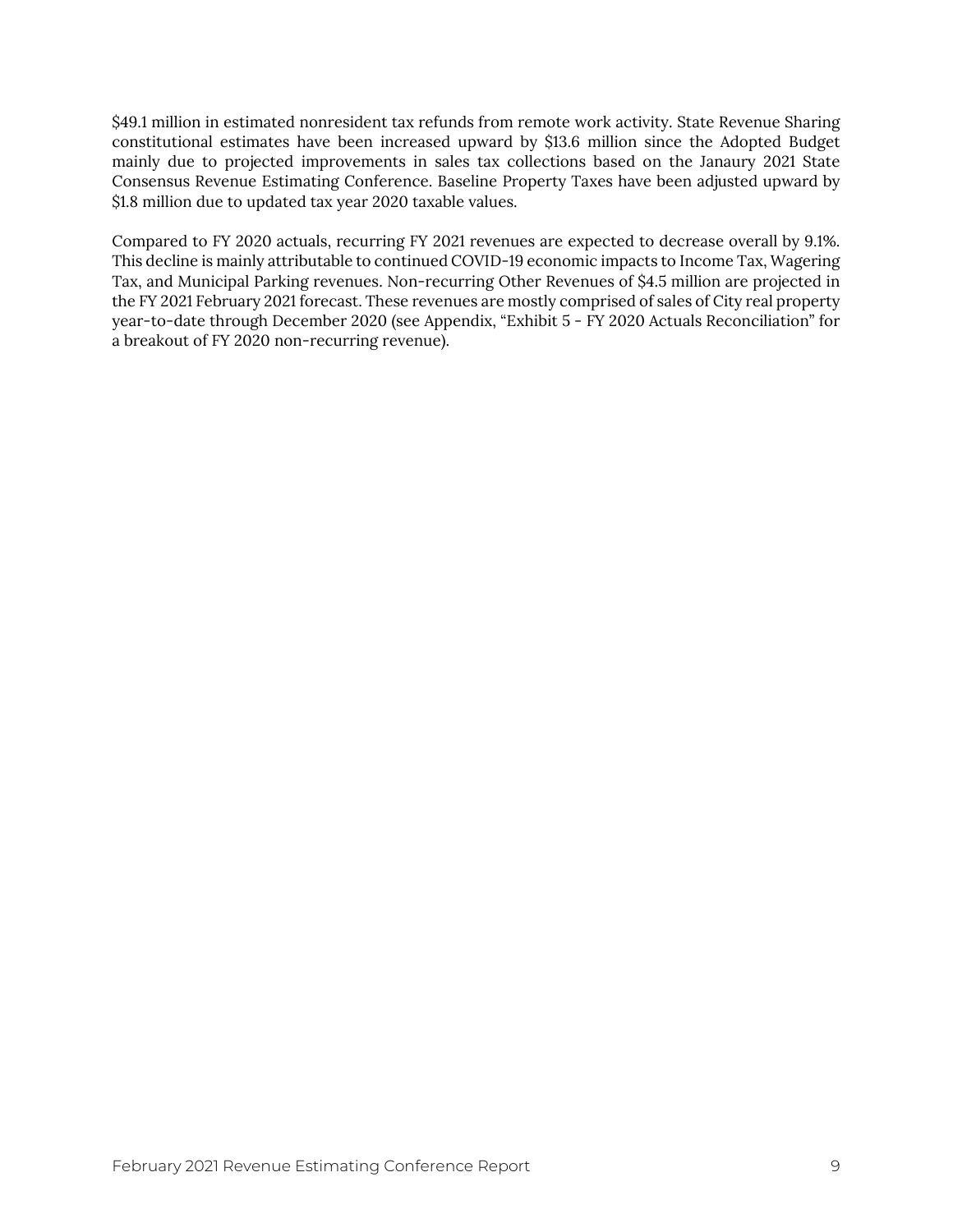\$49.1 million in estimated nonresident tax refunds from remote work activity. State Revenue Sharing constitutional estimates have been increased upward by \$13.6 million since the Adopted Budget mainly due to projected improvements in sales tax collections based on the Janaury 2021 State Consensus Revenue Estimating Conference. Baseline Property Taxes have been adjusted upward by \$1.8 million due to updated tax year 2020 taxable values.

Compared to FY 2020 actuals, recurring FY 2021 revenues are expected to decrease overall by 9.1%. This decline is mainly attributable to continued COVID-19 economic impacts to Income Tax, Wagering Tax, and Municipal Parking revenues. Non-recurring Other Revenues of \$4.5 million are projected in the FY 2021 February 2021 forecast. These revenues are mostly comprised of sales of City real property year-to-date through December 2020 (see Appendix, "Exhibit 5 - FY 2020 Actuals Reconciliation" for a breakout of FY 2020 non-recurring revenue).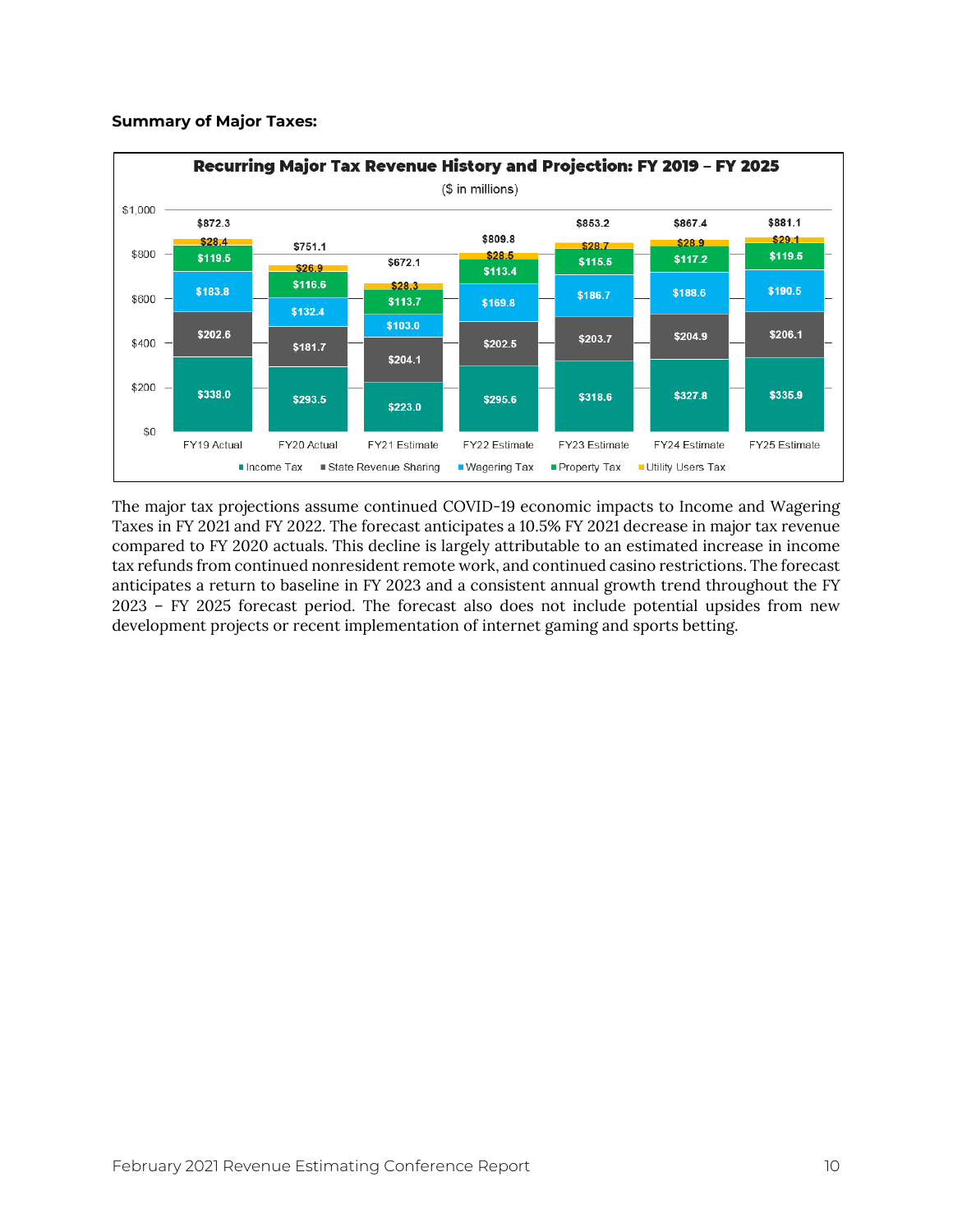#### **Summary of Major Taxes:**



The major tax projections assume continued COVID-19 economic impacts to Income and Wagering Taxes in FY 2021 and FY 2022. The forecast anticipates a 10.5% FY 2021 decrease in major tax revenue compared to FY 2020 actuals. This decline is largely attributable to an estimated increase in income tax refunds from continued nonresident remote work, and continued casino restrictions. The forecast anticipates a return to baseline in FY 2023 and a consistent annual growth trend throughout the FY 2023 – FY 2025 forecast period. The forecast also does not include potential upsides from new development projects or recent implementation of internet gaming and sports betting.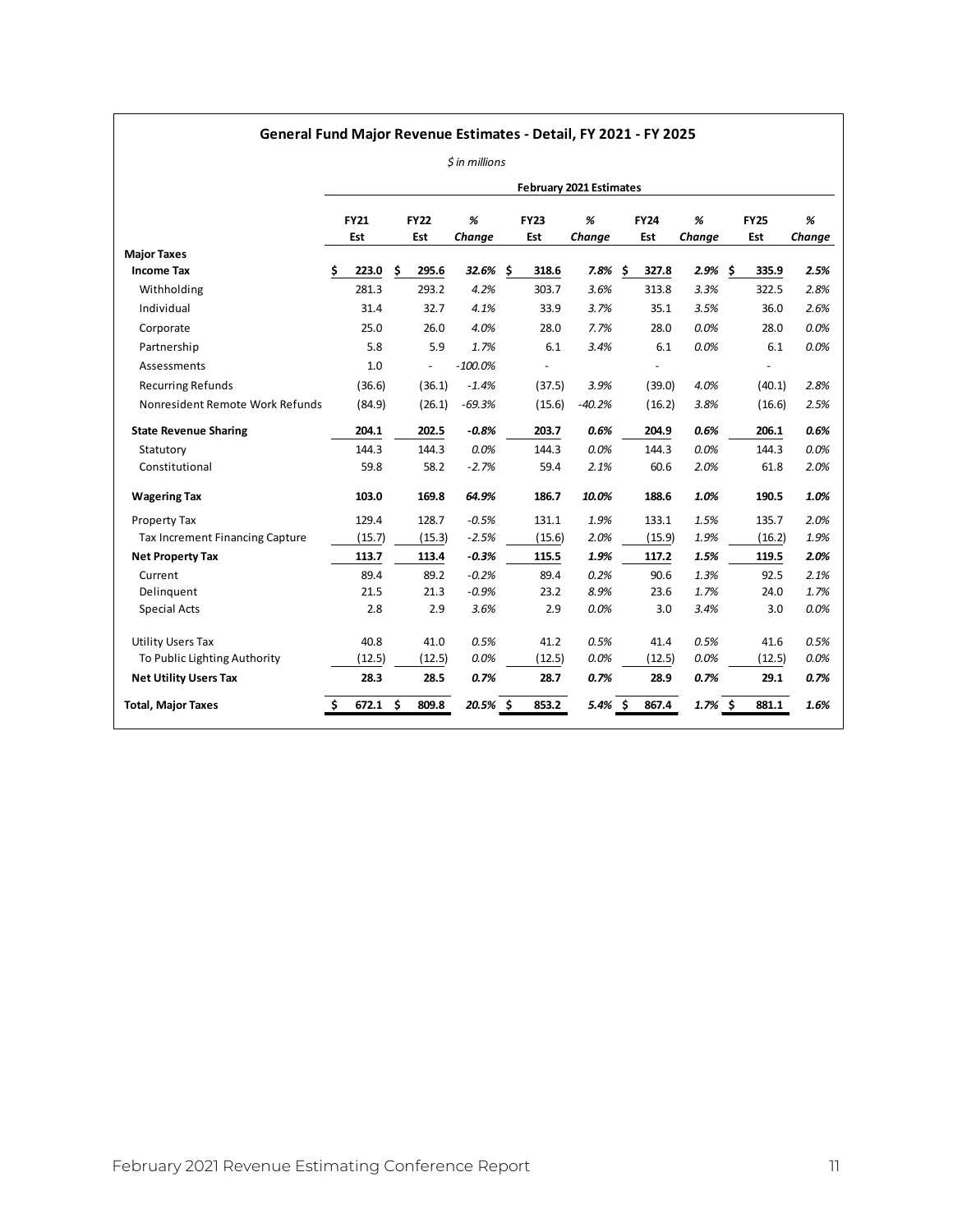## **General Fund Major Revenue Estimates - Detail, FY 2021 - FY 2025**

|  | \$ in millions |
|--|----------------|
|  |                |

|                                 |             |    |                |             |             | <b>February 2021 Estimates</b> |             |           |     |             |        |
|---------------------------------|-------------|----|----------------|-------------|-------------|--------------------------------|-------------|-----------|-----|-------------|--------|
|                                 | <b>FY21</b> |    | <b>FY22</b>    | %           | <b>FY23</b> | %                              | <b>FY24</b> | %         |     | <b>FY25</b> | %      |
|                                 | Est         |    | Est            | Change      | Est         | Change                         | Est         | Change    |     | Est         | Change |
| <b>Major Taxes</b>              |             |    |                |             |             |                                |             |           |     |             |        |
| <b>Income Tax</b>               | \$<br>223.0 | \$ | 295.6          | $32.6\%$ \$ | 318.6       | 7.8%                           | \$<br>327.8 | 2.9%      | \$. | 335.9       | 2.5%   |
| Withholding                     | 281.3       |    | 293.2          | 4.2%        | 303.7       | 3.6%                           | 313.8       | 3.3%      |     | 322.5       | 2.8%   |
| Individual                      | 31.4        |    | 32.7           | 4.1%        | 33.9        | 3.7%                           | 35.1        | 3.5%      |     | 36.0        | 2.6%   |
| Corporate                       | 25.0        |    | 26.0           | 4.0%        | 28.0        | 7.7%                           | 28.0        | 0.0%      |     | 28.0        | 0.0%   |
| Partnership                     | 5.8         |    | 5.9            | 1.7%        | 6.1         | 3.4%                           | 6.1         | 0.0%      |     | 6.1         | 0.0%   |
| Assessments                     | 1.0         |    | $\blacksquare$ | $-100.0%$   |             |                                |             |           |     |             |        |
| <b>Recurring Refunds</b>        | (36.6)      |    | (36.1)         | $-1.4%$     | (37.5)      | 3.9%                           | (39.0)      | 4.0%      |     | (40.1)      | 2.8%   |
| Nonresident Remote Work Refunds | (84.9)      |    | (26.1)         | $-69.3%$    | (15.6)      | $-40.2%$                       | (16.2)      | 3.8%      |     | (16.6)      | 2.5%   |
| <b>State Revenue Sharing</b>    | 204.1       |    | 202.5          | $-0.8%$     | 203.7       | 0.6%                           | 204.9       | 0.6%      |     | 206.1       | 0.6%   |
| Statutory                       | 144.3       |    | 144.3          | 0.0%        | 144.3       | 0.0%                           | 144.3       | 0.0%      |     | 144.3       | 0.0%   |
| Constitutional                  | 59.8        |    | 58.2           | $-2.7%$     | 59.4        | 2.1%                           | 60.6        | 2.0%      |     | 61.8        | 2.0%   |
| <b>Wagering Tax</b>             | 103.0       |    | 169.8          | 64.9%       | 186.7       | 10.0%                          | 188.6       | 1.0%      |     | 190.5       | 1.0%   |
| <b>Property Tax</b>             | 129.4       |    | 128.7          | $-0.5%$     | 131.1       | 1.9%                           | 133.1       | 1.5%      |     | 135.7       | 2.0%   |
| Tax Increment Financing Capture | (15.7)      |    | (15.3)         | $-2.5%$     | (15.6)      | 2.0%                           | (15.9)      | 1.9%      |     | (16.2)      | 1.9%   |
| <b>Net Property Tax</b>         | 113.7       |    | 113.4          | $-0.3%$     | 115.5       | 1.9%                           | 117.2       | 1.5%      |     | 119.5       | 2.0%   |
| Current                         | 89.4        |    | 89.2           | $-0.2%$     | 89.4        | 0.2%                           | 90.6        | 1.3%      |     | 92.5        | 2.1%   |
| Delinquent                      | 21.5        |    | 21.3           | $-0.9%$     | 23.2        | 8.9%                           | 23.6        | 1.7%      |     | 24.0        | 1.7%   |
| <b>Special Acts</b>             | 2.8         |    | 2.9            | 3.6%        | 2.9         | 0.0%                           | 3.0         | 3.4%      |     | 3.0         | 0.0%   |
| <b>Utility Users Tax</b>        | 40.8        |    | 41.0           | 0.5%        | 41.2        | 0.5%                           | 41.4        | 0.5%      |     | 41.6        | 0.5%   |
| To Public Lighting Authority    | (12.5)      |    | (12.5)         | 0.0%        | (12.5)      | 0.0%                           | (12.5)      | 0.0%      |     | (12.5)      | 0.0%   |
| <b>Net Utility Users Tax</b>    | 28.3        |    | 28.5           | 0.7%        | 28.7        | 0.7%                           | 28.9        | 0.7%      |     | 29.1        | 0.7%   |
| <b>Total, Major Taxes</b>       | 672.1       | Ŝ. | 809.8          | $20.5%$ \$  | 853.2       | $5.4\%$ \$                     | 867.4       | $1.7%$ \$ |     | 881.1       | 1.6%   |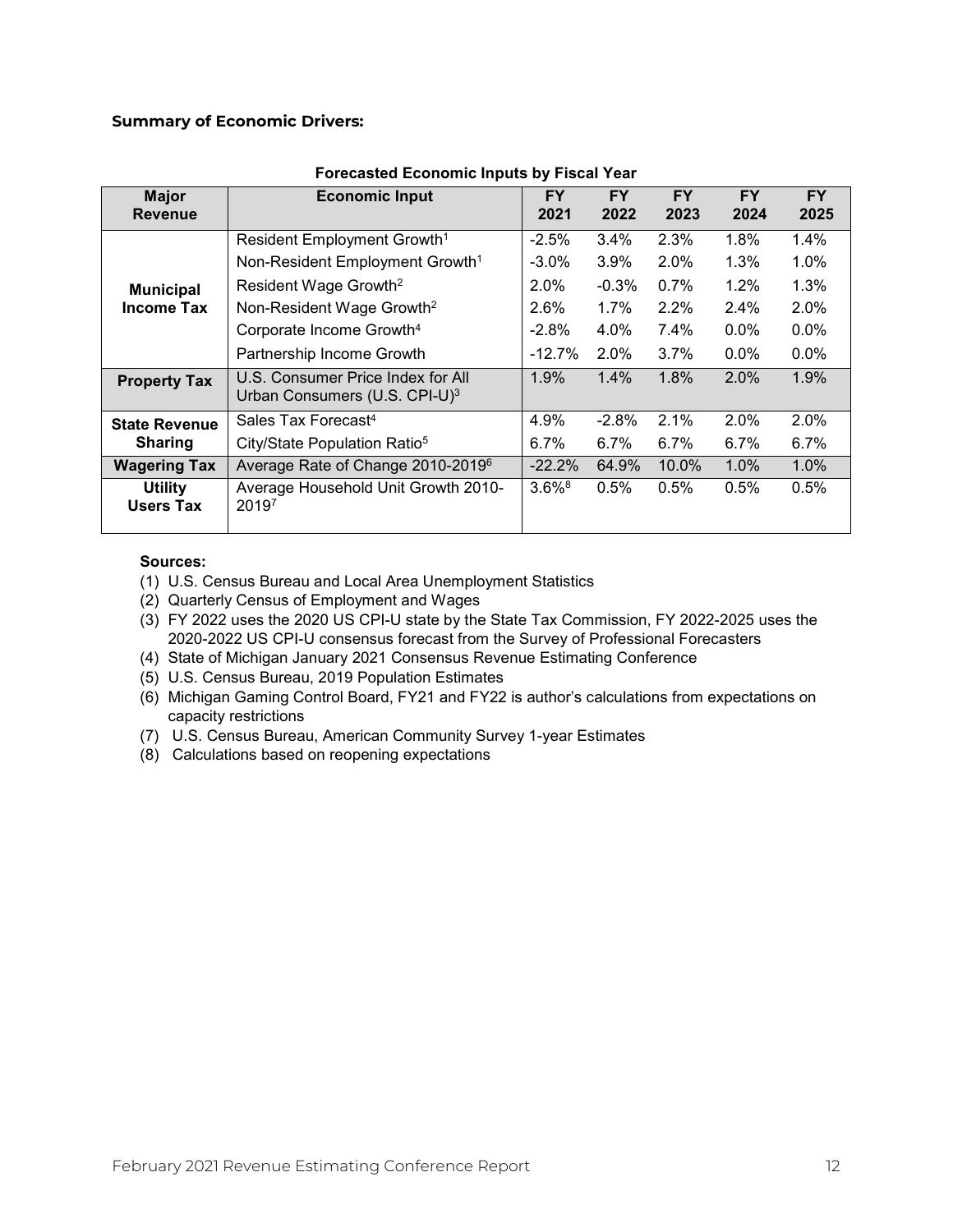#### **Summary of Economic Drivers:**

| <b>Major</b><br><b>Revenue</b>     | <b>Economic Input</b>                                                          | <b>FY</b><br>2021    | <b>FY</b><br>2022 | <b>FY</b><br>2023 | <b>FY</b><br>2024 | <b>FY</b><br>2025 |
|------------------------------------|--------------------------------------------------------------------------------|----------------------|-------------------|-------------------|-------------------|-------------------|
|                                    | Resident Employment Growth <sup>1</sup>                                        | $-2.5%$              | $3.4\%$           | 2.3%              | 1.8%              | 1.4%              |
|                                    | Non-Resident Employment Growth <sup>1</sup>                                    | $-3.0\%$             | $3.9\%$           | 2.0%              | 1.3%              | $1.0\%$           |
| <b>Municipal</b>                   | Resident Wage Growth <sup>2</sup>                                              | 2.0%                 | $-0.3\%$          | 0.7%              | 1.2%              | 1.3%              |
| <b>Income Tax</b>                  | Non-Resident Wage Growth <sup>2</sup>                                          | 2.6%                 | 1.7%              | 2.2%              | 2.4%              | 2.0%              |
|                                    | Corporate Income Growth <sup>4</sup>                                           | $-2.8\%$             | 4.0%              | 7.4%              | $0.0\%$           | $0.0\%$           |
|                                    | Partnership Income Growth                                                      | $-12.7\%$            | $2.0\%$           | $3.7\%$           | $0.0\%$           | $0.0\%$           |
| <b>Property Tax</b>                | U.S. Consumer Price Index for All<br>Urban Consumers (U.S. CPI-U) <sup>3</sup> | 1.9%                 | 1.4%              | 1.8%              | 2.0%              | 1.9%              |
| <b>State Revenue</b>               | Sales Tax Forecast <sup>4</sup>                                                | 4.9%                 | $-2.8%$           | 2.1%              | $2.0\%$           | 2.0%              |
| <b>Sharing</b>                     | City/State Population Ratio <sup>5</sup>                                       | 6.7%                 | $6.7\%$           | 6.7%              | 6.7%              | $6.7\%$           |
| <b>Wagering Tax</b>                | Average Rate of Change 2010-2019 <sup>6</sup>                                  | $-22.2\%$            | 64.9%             | $10.0\%$          | 1.0%              | $1.0\%$           |
| <b>Utility</b><br><b>Users Tax</b> | Average Household Unit Growth 2010-<br>20197                                   | $3.6\%$ <sup>8</sup> | 0.5%              | 0.5%              | 0.5%              | 0.5%              |

#### **Forecasted Economic Inputs by Fiscal Year**

#### **Sources:**

- (1) U.S. Census Bureau and Local Area Unemployment Statistics
- (2) Quarterly Census of Employment and Wages
- (3) FY 2022 uses the 2020 US CPI-U state by the State Tax Commission, FY 2022-2025 uses the 2020-2022 US CPI-U consensus forecast from the Survey of Professional Forecasters
- (4) State of Michigan January 2021 Consensus Revenue Estimating Conference
- (5) U.S. Census Bureau, 2019 Population Estimates
- (6) Michigan Gaming Control Board, FY21 and FY22 is author's calculations from expectations on capacity restrictions
- (7) U.S. Census Bureau, American Community Survey 1-year Estimates
- (8) Calculations based on reopening expectations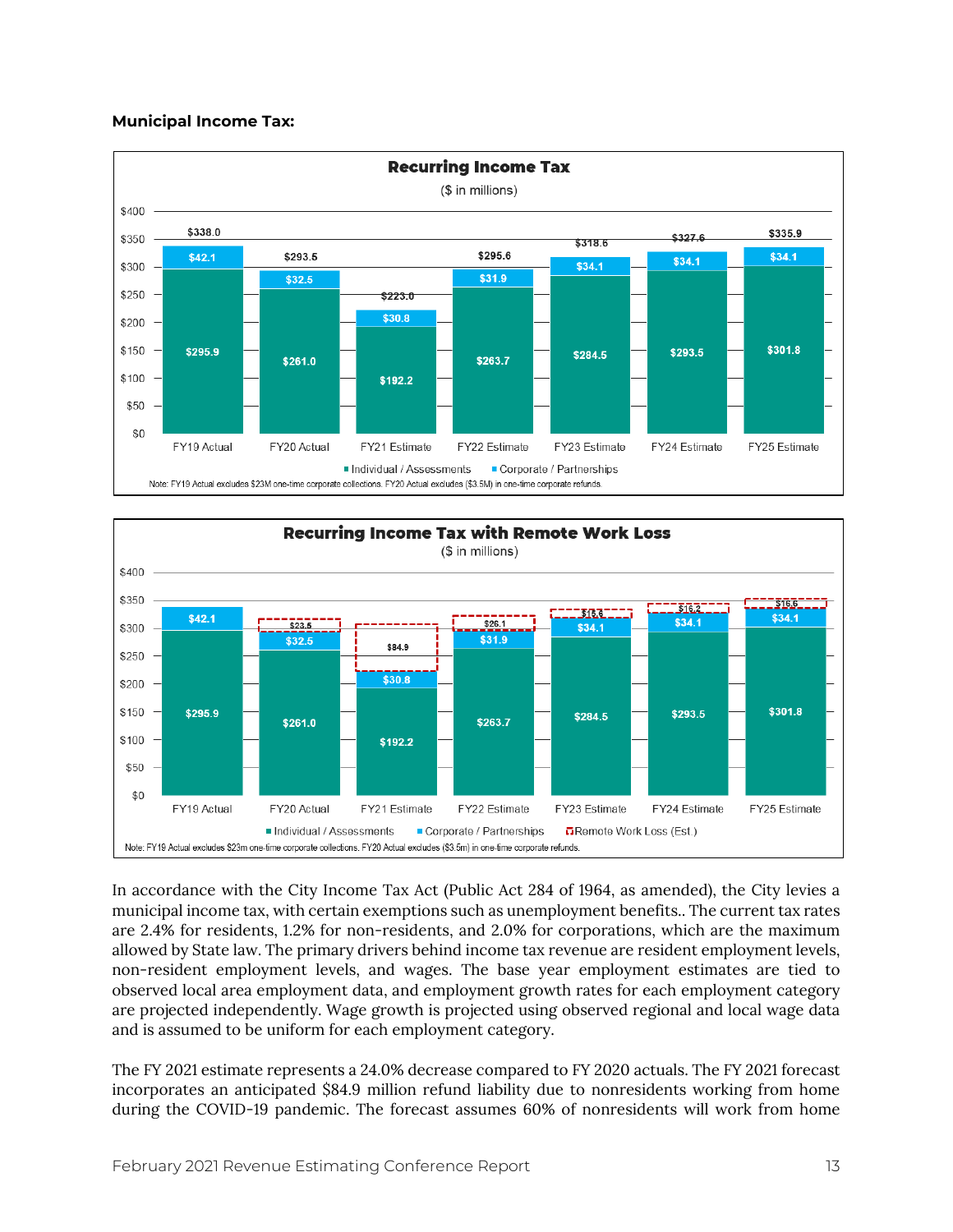#### **Municipal Income Tax:**





In accordance with the City Income Tax Act (Public Act 284 of 1964, as amended), the City levies a municipal income tax, with certain exemptions such as unemployment benefits.. The current tax rates are 2.4% for residents, 1.2% for non-residents, and 2.0% for corporations, which are the maximum allowed by State law. The primary drivers behind income tax revenue are resident employment levels, non-resident employment levels, and wages. The base year employment estimates are tied to observed local area employment data, and employment growth rates for each employment category are projected independently. Wage growth is projected using observed regional and local wage data and is assumed to be uniform for each employment category.

The FY 2021 estimate represents a 24.0% decrease compared to FY 2020 actuals. The FY 2021 forecast incorporates an anticipated \$84.9 million refund liability due to nonresidents working from home during the COVID-19 pandemic. The forecast assumes 60% of nonresidents will work from home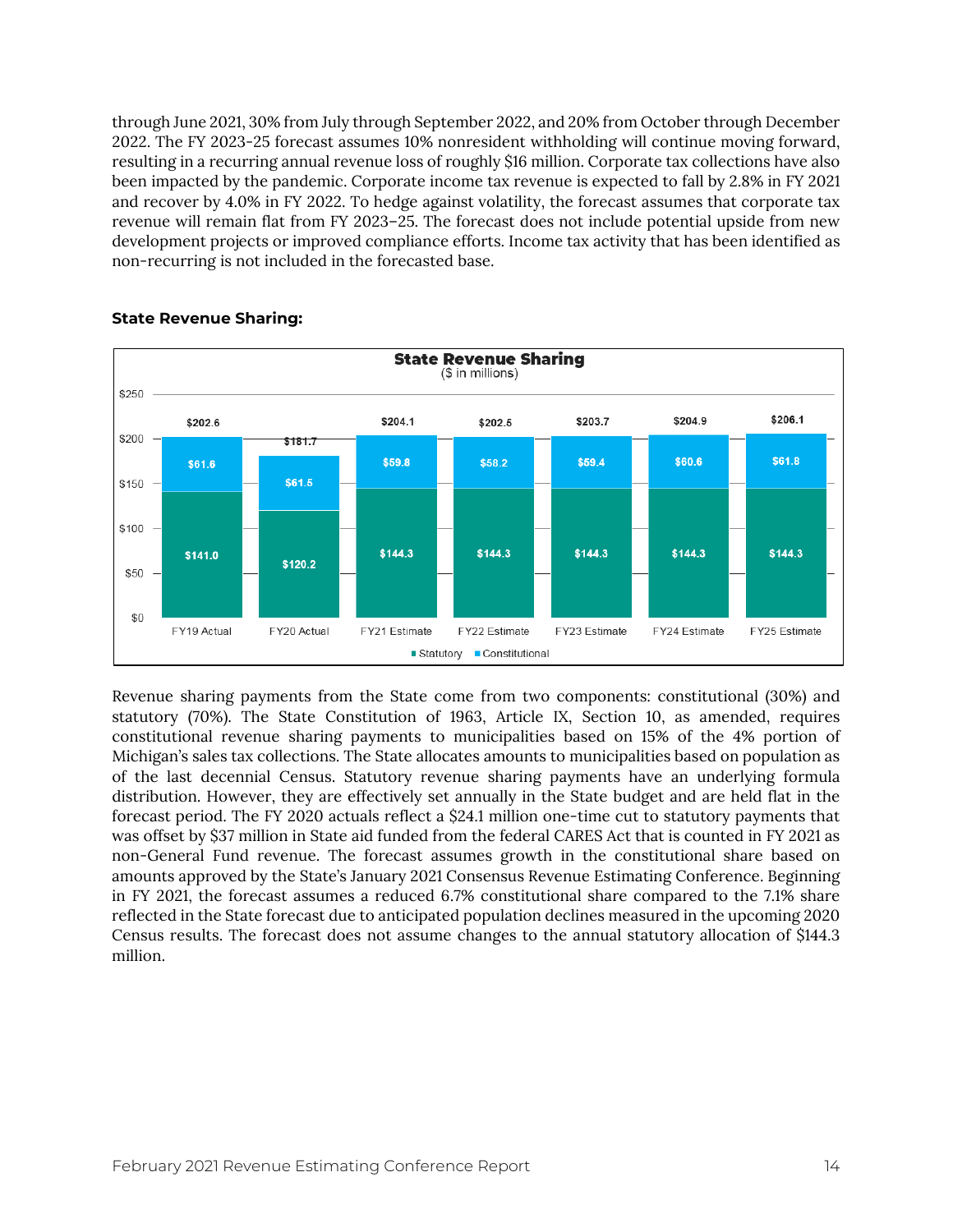through June 2021, 30% from July through September 2022, and 20% from October through December 2022. The FY 2023-25 forecast assumes 10% nonresident withholding will continue moving forward, resulting in a recurring annual revenue loss of roughly \$16 million. Corporate tax collections have also been impacted by the pandemic. Corporate income tax revenue is expected to fall by 2.8% in FY 2021 and recover by 4.0% in FY 2022. To hedge against volatility, the forecast assumes that corporate tax revenue will remain flat from FY 2023–25. The forecast does not include potential upside from new development projects or improved compliance efforts. Income tax activity that has been identified as non-recurring is not included in the forecasted base.



#### **State Revenue Sharing:**

Revenue sharing payments from the State come from two components: constitutional (30%) and statutory (70%). The State Constitution of 1963, Article IX, Section 10, as amended, requires constitutional revenue sharing payments to municipalities based on 15% of the 4% portion of Michigan's sales tax collections. The State allocates amounts to municipalities based on population as of the last decennial Census. Statutory revenue sharing payments have an underlying formula distribution. However, they are effectively set annually in the State budget and are held flat in the forecast period. The FY 2020 actuals reflect a \$24.1 million one-time cut to statutory payments that was offset by \$37 million in State aid funded from the federal CARES Act that is counted in FY 2021 as non-General Fund revenue. The forecast assumes growth in the constitutional share based on amounts approved by the State's January 2021 Consensus Revenue Estimating Conference. Beginning in FY 2021, the forecast assumes a reduced 6.7% constitutional share compared to the 7.1% share reflected in the State forecast due to anticipated population declines measured in the upcoming 2020 Census results. The forecast does not assume changes to the annual statutory allocation of \$144.3 million.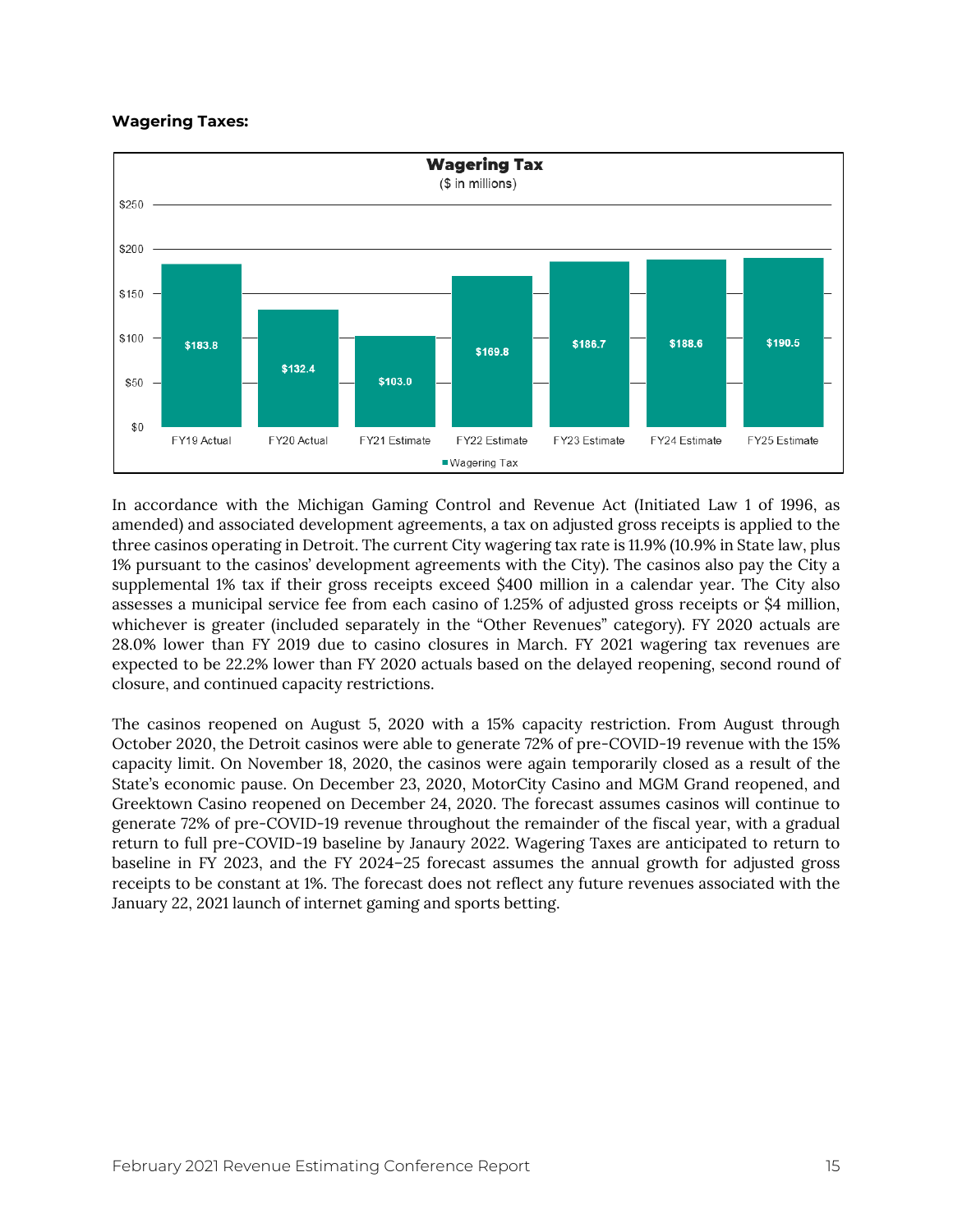#### **Wagering Taxes:**



In accordance with the Michigan Gaming Control and Revenue Act (Initiated Law 1 of 1996, as amended) and associated development agreements, a tax on adjusted gross receipts is applied to the three casinos operating in Detroit. The current City wagering tax rate is 11.9% (10.9% in State law, plus 1% pursuant to the casinos' development agreements with the City). The casinos also pay the City a supplemental 1% tax if their gross receipts exceed \$400 million in a calendar year. The City also assesses a municipal service fee from each casino of 1.25% of adjusted gross receipts or \$4 million, whichever is greater (included separately in the "Other Revenues" category). FY 2020 actuals are 28.0% lower than FY 2019 due to casino closures in March. FY 2021 wagering tax revenues are expected to be 22.2% lower than FY 2020 actuals based on the delayed reopening, second round of closure, and continued capacity restrictions.

The casinos reopened on August 5, 2020 with a 15% capacity restriction. From August through October 2020, the Detroit casinos were able to generate 72% of pre-COVID-19 revenue with the 15% capacity limit. On November 18, 2020, the casinos were again temporarily closed as a result of the State's economic pause. On December 23, 2020, MotorCity Casino and MGM Grand reopened, and Greektown Casino reopened on December 24, 2020. The forecast assumes casinos will continue to generate 72% of pre-COVID-19 revenue throughout the remainder of the fiscal year, with a gradual return to full pre-COVID-19 baseline by Janaury 2022. Wagering Taxes are anticipated to return to baseline in FY 2023, and the FY 2024–25 forecast assumes the annual growth for adjusted gross receipts to be constant at 1%. The forecast does not reflect any future revenues associated with the January 22, 2021 launch of internet gaming and sports betting.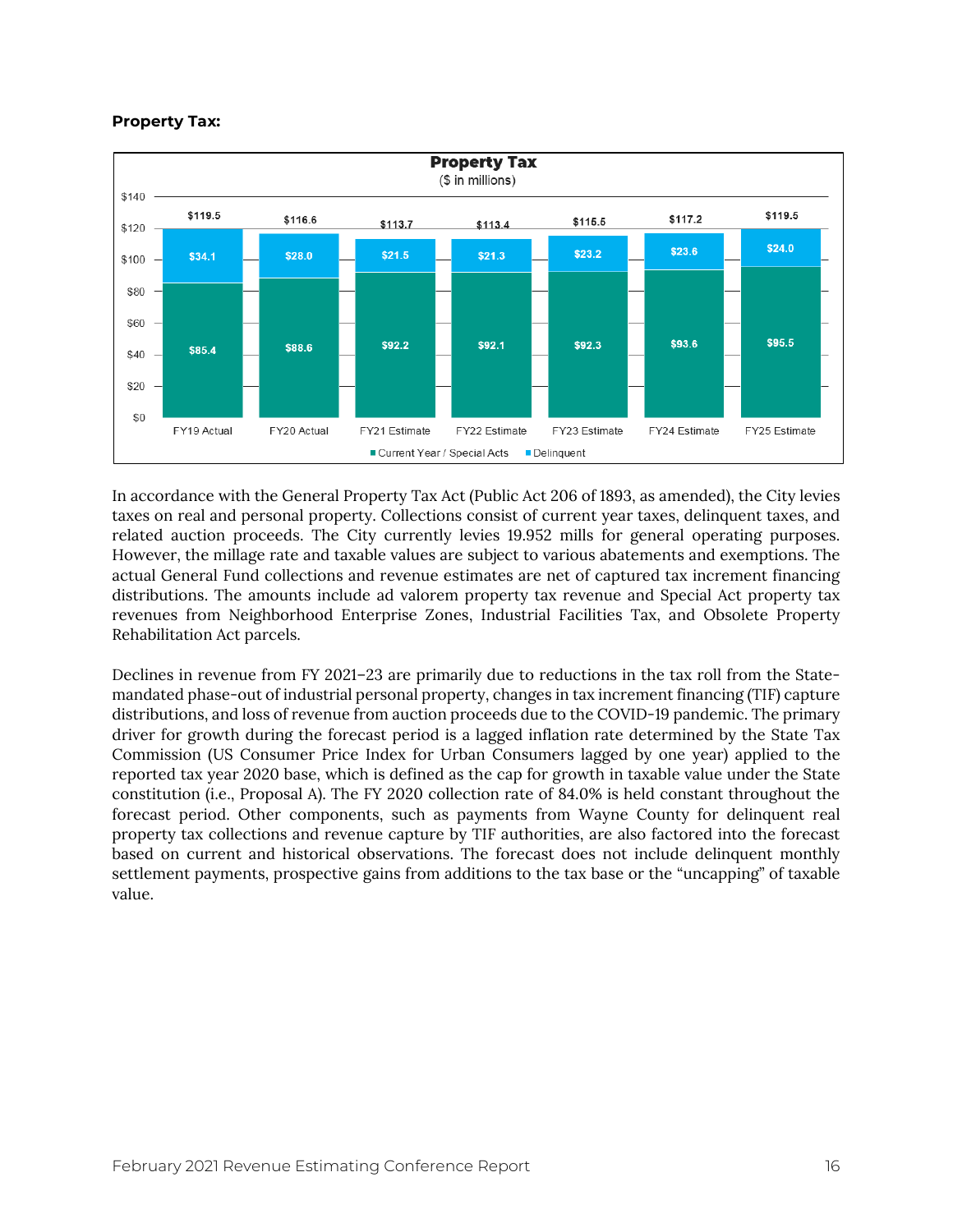#### **Property Tax:**



In accordance with the General Property Tax Act (Public Act 206 of 1893, as amended), the City levies taxes on real and personal property. Collections consist of current year taxes, delinquent taxes, and related auction proceeds. The City currently levies 19.952 mills for general operating purposes. However, the millage rate and taxable values are subject to various abatements and exemptions. The actual General Fund collections and revenue estimates are net of captured tax increment financing distributions. The amounts include ad valorem property tax revenue and Special Act property tax revenues from Neighborhood Enterprise Zones, Industrial Facilities Tax, and Obsolete Property Rehabilitation Act parcels.

Declines in revenue from FY 2021–23 are primarily due to reductions in the tax roll from the Statemandated phase-out of industrial personal property, changes in tax increment financing (TIF) capture distributions, and loss of revenue from auction proceeds due to the COVID-19 pandemic. The primary driver for growth during the forecast period is a lagged inflation rate determined by the State Tax Commission (US Consumer Price Index for Urban Consumers lagged by one year) applied to the reported tax year 2020 base, which is defined as the cap for growth in taxable value under the State constitution (i.e., Proposal A). The FY 2020 collection rate of 84.0% is held constant throughout the forecast period. Other components, such as payments from Wayne County for delinquent real property tax collections and revenue capture by TIF authorities, are also factored into the forecast based on current and historical observations. The forecast does not include delinquent monthly settlement payments, prospective gains from additions to the tax base or the "uncapping" of taxable value.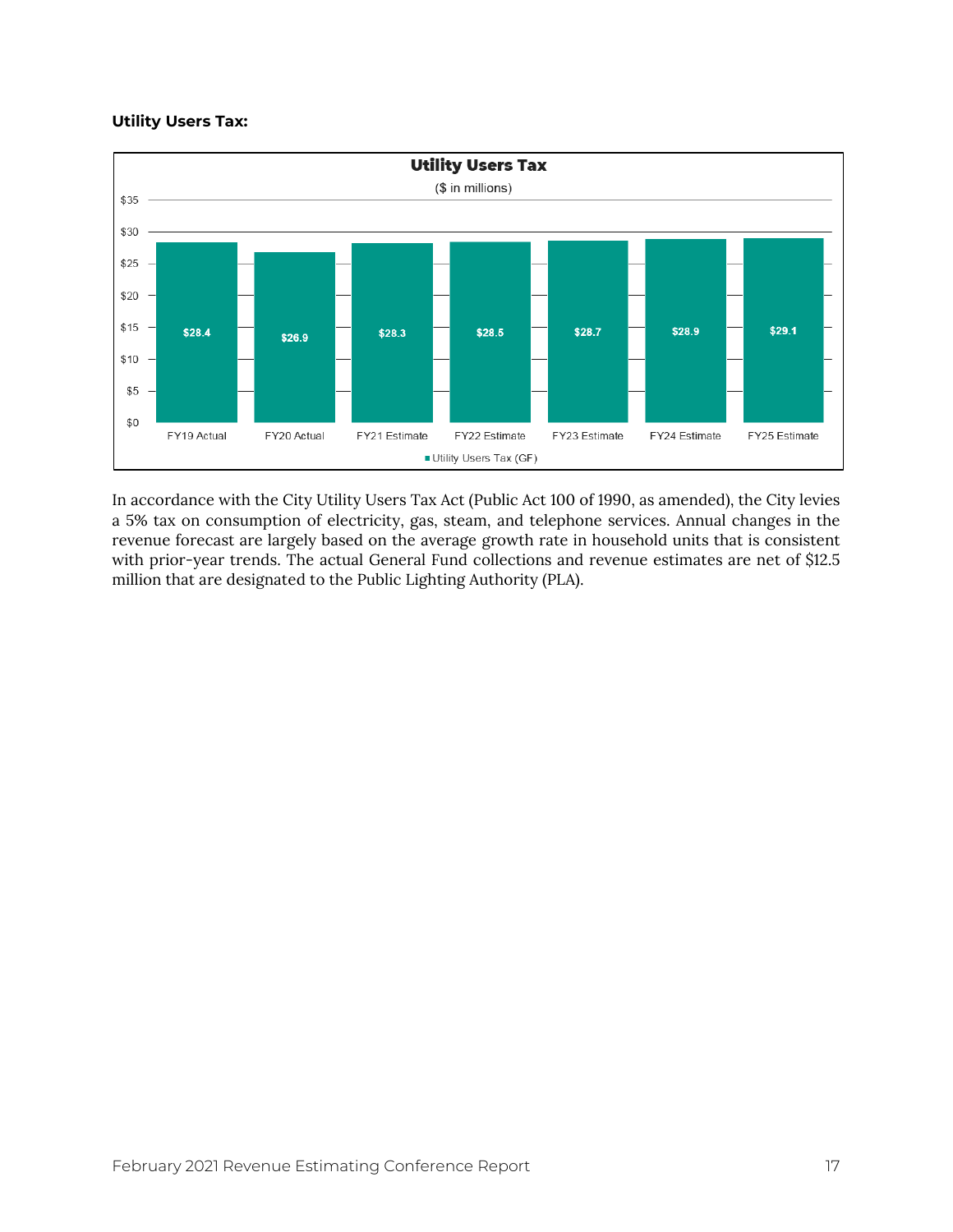#### **Utility Users Tax:**



In accordance with the City Utility Users Tax Act (Public Act 100 of 1990, as amended), the City levies a 5% tax on consumption of electricity, gas, steam, and telephone services. Annual changes in the revenue forecast are largely based on the average growth rate in household units that is consistent with prior-year trends. The actual General Fund collections and revenue estimates are net of \$12.5 million that are designated to the Public Lighting Authority (PLA).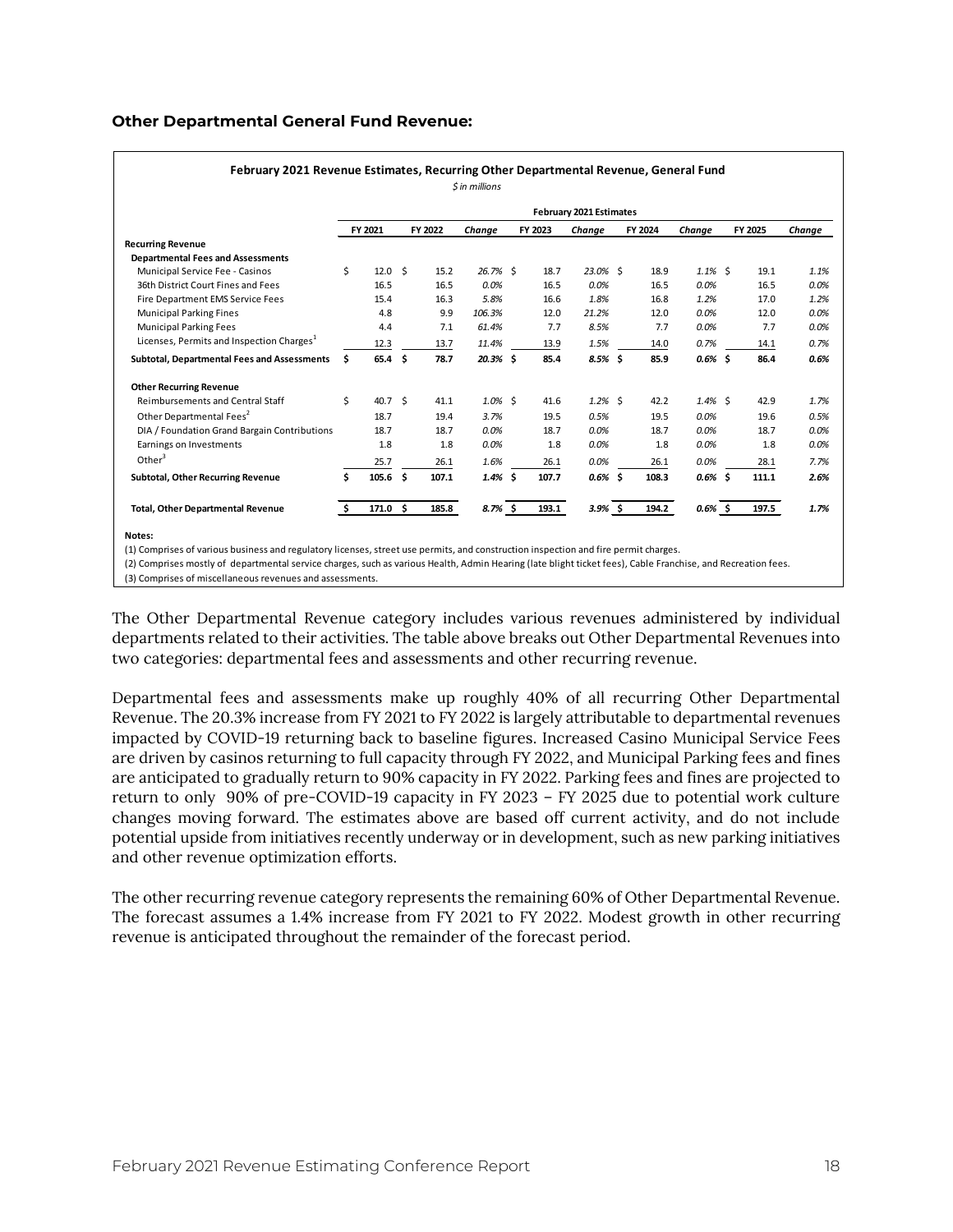#### **Other Departmental General Fund Revenue:**

|                                                       |     |                   |         |            |         | February 2021 Estimates |         |            |         |        |
|-------------------------------------------------------|-----|-------------------|---------|------------|---------|-------------------------|---------|------------|---------|--------|
|                                                       |     | FY 2021           | FY 2022 | Change     | FY 2023 | Change                  | FY 2024 | Chanae     | FY 2025 | Change |
| <b>Recurring Revenue</b>                              |     |                   |         |            |         |                         |         |            |         |        |
| <b>Departmental Fees and Assessments</b>              |     |                   |         |            |         |                         |         |            |         |        |
| Municipal Service Fee - Casinos                       | \$  | 12.0 <sup>5</sup> | 15.2    | 26.7% \$   | 18.7    | 23.0% \$                | 18.9    | $1.1\%$ \$ | 19.1    | 1.1%   |
| 36th District Court Fines and Fees                    |     | 16.5              | 16.5    | 0.0%       | 16.5    | 0.0%                    | 16.5    | 0.0%       | 16.5    | 0.0%   |
| Fire Department EMS Service Fees                      |     | 15.4              | 16.3    | 5.8%       | 16.6    | 1.8%                    | 16.8    | 1.2%       | 17.0    | 1.2%   |
| <b>Municipal Parking Fines</b>                        |     | 4.8               | 9.9     | 106.3%     | 12.0    | 21.2%                   | 12.0    | 0.0%       | 12.0    | 0.0%   |
| <b>Municipal Parking Fees</b>                         |     | 4.4               | 7.1     | 61.4%      | 7.7     | 8.5%                    | 7.7     | 0.0%       | 7.7     | 0.0%   |
| Licenses, Permits and Inspection Charges <sup>1</sup> |     | 12.3              | 13.7    | 11.4%      | 13.9    | 1.5%                    | 14.0    | 0.7%       | 14.1    | 0.7%   |
| Subtotal, Departmental Fees and Assessments           | Ś.  | 65.4 <sup>5</sup> | 78.7    | $20.3%$ \$ | 85.4    | $8.5\%$ \$              | 85.9    | $0.6\%$ \$ | 86.4    | 0.6%   |
| <b>Other Recurring Revenue</b>                        |     |                   |         |            |         |                         |         |            |         |        |
| <b>Reimbursements and Central Staff</b>               | \$  | 40.7 <sup>5</sup> | 41.1    | $1.0\%$ \$ | 41.6    | $1.2\%$ \$              | 42.2    | $1.4\%$ \$ | 42.9    | 1.7%   |
| Other Departmental Fees <sup>2</sup>                  |     | 18.7              | 19.4    | 3.7%       | 19.5    | 0.5%                    | 19.5    | 0.0%       | 19.6    | 0.5%   |
| DIA / Foundation Grand Bargain Contributions          |     | 18.7              | 18.7    | 0.0%       | 18.7    | 0.0%                    | 18.7    | 0.0%       | 18.7    | 0.0%   |
| Earnings on Investments                               |     | 1.8               | 1.8     | 0.0%       | 1.8     | 0.0%                    | 1.8     | 0.0%       | 1.8     | 0.0%   |
| Other $3$                                             |     | 25.7              | 26.1    | 1.6%       | 26.1    | 0.0%                    | 26.1    | 0.0%       | 28.1    | 7.7%   |
| Subtotal, Other Recurring Revenue                     | \$  | $105.6$ \$        | 107.1   | $1.4\%$ \$ | 107.7   | $0.6\%$ \$              | 108.3   | $0.6\%$ \$ | 111.1   | 2.6%   |
| <b>Total, Other Departmental Revenue</b>              | \$. | $171.0 \pm 5$     | 185.8   | $8.7\%$ \$ | 193.1   | $3.9%$ \$               | 194.2   | $0.6\%$ \$ | 197.5   | 1.7%   |

(1) Comprises of various business and regulatory licenses, street use permits, and construction inspection and fire permit charges.

(2) Comprises mostly of departmental service charges, such as various Health, Admin Hearing (late blight ticket fees), Cable Franchise, and Recreation fees.

(3) Comprises of miscellaneous revenues and assessments.

The Other Departmental Revenue category includes various revenues administered by individual departments related to their activities. The table above breaks out Other Departmental Revenues into two categories: departmental fees and assessments and other recurring revenue.

Departmental fees and assessments make up roughly 40% of all recurring Other Departmental Revenue. The 20.3% increase from FY 2021 to FY 2022 is largely attributable to departmental revenues impacted by COVID-19 returning back to baseline figures. Increased Casino Municipal Service Fees are driven by casinos returning to full capacity through FY 2022, and Municipal Parking fees and fines are anticipated to gradually return to 90% capacity in FY 2022. Parking fees and fines are projected to return to only 90% of pre-COVID-19 capacity in FY 2023 – FY 2025 due to potential work culture changes moving forward. The estimates above are based off current activity, and do not include potential upside from initiatives recently underway or in development, such as new parking initiatives and other revenue optimization efforts.

The other recurring revenue category represents the remaining 60% of Other Departmental Revenue. The forecast assumes a 1.4% increase from FY 2021 to FY 2022. Modest growth in other recurring revenue is anticipated throughout the remainder of the forecast period.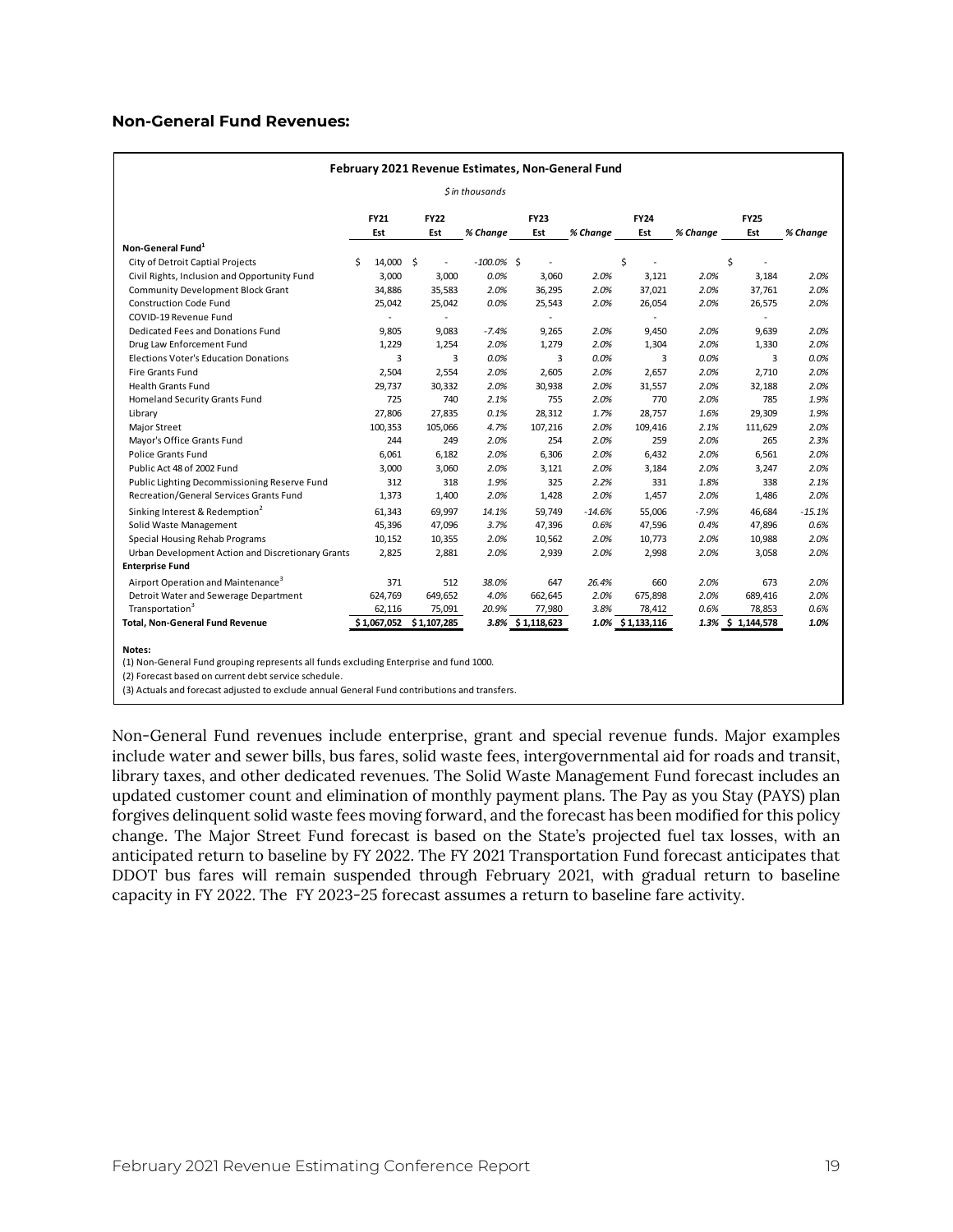#### **Non-General Fund Revenues:**

| February 2021 Revenue Estimates, Non-General Fund |                |             |                  |                          |          |                  |          |                   |          |  |  |  |  |
|---------------------------------------------------|----------------|-------------|------------------|--------------------------|----------|------------------|----------|-------------------|----------|--|--|--|--|
|                                                   |                |             | $$$ in thousands |                          |          |                  |          |                   |          |  |  |  |  |
|                                                   | <b>FY21</b>    | <b>FY22</b> |                  | <b>FY23</b>              |          | <b>FY24</b>      |          | <b>FY25</b>       |          |  |  |  |  |
|                                                   | Est            | Est         | % Change         | Est                      | % Change | Est              | % Chanae | Est               | % Change |  |  |  |  |
| Non-General Fund <sup>1</sup>                     |                |             |                  |                          |          |                  |          |                   |          |  |  |  |  |
| City of Detroit Captial Projects                  | Ś<br>14,000 \$ | ÷,          | $-100.0\%$ \$    | $\overline{\phantom{a}}$ |          | \$               |          | \$                |          |  |  |  |  |
| Civil Rights, Inclusion and Opportunity Fund      | 3,000          | 3,000       | 0.0%             | 3,060                    | 2.0%     | 3,121            | 2.0%     | 3,184             | 2.0%     |  |  |  |  |
| <b>Community Development Block Grant</b>          | 34,886         | 35,583      | 2.0%             | 36,295                   | 2.0%     | 37,021           | 2.0%     | 37,761            | 2.0%     |  |  |  |  |
| <b>Construction Code Fund</b>                     | 25,042         | 25,042      | 0.0%             | 25,543                   | 2.0%     | 26,054           | 2.0%     | 26,575            | 2.0%     |  |  |  |  |
| COVID-19 Revenue Fund                             |                | $\sim$      |                  | $\sim$                   |          | $\sim$           |          |                   |          |  |  |  |  |
| Dedicated Fees and Donations Fund                 | 9,805          | 9,083       | $-7.4%$          | 9,265                    | 2.0%     | 9,450            | 2.0%     | 9,639             | 2.0%     |  |  |  |  |
| Drug Law Enforcement Fund                         | 1.229          | 1.254       | 2.0%             | 1.279                    | 2.0%     | 1.304            | 2.0%     | 1.330             | 2.0%     |  |  |  |  |
| <b>Elections Voter's Education Donations</b>      | 3              | 3           | 0.0%             | 3                        | 0.0%     | 3                | 0.0%     | 3                 | 0.0%     |  |  |  |  |
| Fire Grants Fund                                  | 2,504          | 2.554       | 2.0%             | 2,605                    | 2.0%     | 2,657            | 2.0%     | 2.710             | 2.0%     |  |  |  |  |
| <b>Health Grants Fund</b>                         | 29,737         | 30,332      | 2.0%             | 30,938                   | 2.0%     | 31,557           | 2.0%     | 32,188            | 2.0%     |  |  |  |  |
| Homeland Security Grants Fund                     | 725            | 740         | 2.1%             | 755                      | 2.0%     | 770              | 2.0%     | 785               | 1.9%     |  |  |  |  |
| Library                                           | 27,806         | 27,835      | 0.1%             | 28,312                   | 1.7%     | 28,757           | 1.6%     | 29,309            | 1.9%     |  |  |  |  |
| Major Street                                      | 100,353        | 105,066     | 4.7%             | 107,216                  | 2.0%     | 109,416          | 2.1%     | 111,629           | 2.0%     |  |  |  |  |
| Mayor's Office Grants Fund                        | 244            | 249         | 2.0%             | 254                      | 2.0%     | 259              | 2.0%     | 265               | 2.3%     |  |  |  |  |
| <b>Police Grants Fund</b>                         | 6,061          | 6,182       | 2.0%             | 6,306                    | 2.0%     | 6,432            | 2.0%     | 6,561             | 2.0%     |  |  |  |  |
| Public Act 48 of 2002 Fund                        | 3,000          | 3,060       | 2.0%             | 3,121                    | 2.0%     | 3,184            | 2.0%     | 3,247             | 2.0%     |  |  |  |  |
| Public Lighting Decommissioning Reserve Fund      | 312            | 318         | 1.9%             | 325                      | 2.2%     | 331              | 1.8%     | 338               | 2.1%     |  |  |  |  |
| Recreation/General Services Grants Fund           | 1,373          | 1,400       | 2.0%             | 1,428                    | 2.0%     | 1,457            | 2.0%     | 1,486             | 2.0%     |  |  |  |  |
| Sinking Interest & Redemption <sup>2</sup>        | 61.343         | 69,997      | 14.1%            | 59,749                   | $-14.6%$ | 55.006           | $-7.9%$  | 46.684            | $-15.1%$ |  |  |  |  |
| Solid Waste Management                            | 45.396         | 47,096      | 3.7%             | 47,396                   | 0.6%     | 47,596           | 0.4%     | 47,896            | 0.6%     |  |  |  |  |
| Special Housing Rehab Programs                    | 10,152         | 10,355      | 2.0%             | 10,562                   | 2.0%     | 10,773           | 2.0%     | 10,988            | 2.0%     |  |  |  |  |
| Urban Development Action and Discretionary Grants | 2,825          | 2,881       | 2.0%             | 2,939                    | 2.0%     | 2,998            | 2.0%     | 3,058             | 2.0%     |  |  |  |  |
| <b>Enterprise Fund</b>                            |                |             |                  |                          |          |                  |          |                   |          |  |  |  |  |
| Airport Operation and Maintenance <sup>3</sup>    | 371            | 512         | 38.0%            | 647                      | 26.4%    | 660              | 2.0%     | 673               | 2.0%     |  |  |  |  |
| Detroit Water and Sewerage Department             | 624,769        | 649,652     | 4.0%             | 662,645                  | 2.0%     | 675,898          | 2.0%     | 689,416           | 2.0%     |  |  |  |  |
| Transportation <sup>3</sup>                       | 62,116         | 75,091      | 20.9%            | 77,980                   | 3.8%     | 78,412           | 0.6%     | 78,853            | 0.6%     |  |  |  |  |
| <b>Total, Non-General Fund Revenue</b>            | \$1,067,052    | \$1,107,285 |                  | 3.8% \$1,118,623         |          | 1.0% \$1,133,116 |          | 1.3% \$ 1,144,578 | 1.0%     |  |  |  |  |
| Notes:                                            |                |             |                  |                          |          |                  |          |                   |          |  |  |  |  |

(1) Non-General Fund grouping represents all funds excluding Enterprise and fund 1000.

(2) Forecast based on current debt service schedule.

(3) Actuals and forecast adjusted to exclude annual General Fund contributions and transfers.

Non-General Fund revenues include enterprise, grant and special revenue funds. Major examples include water and sewer bills, bus fares, solid waste fees, intergovernmental aid for roads and transit, library taxes, and other dedicated revenues. The Solid Waste Management Fund forecast includes an updated customer count and elimination of monthly payment plans. The Pay as you Stay (PAYS) plan forgives delinquent solid waste fees moving forward, and the forecast has been modified for this policy change. The Major Street Fund forecast is based on the State's projected fuel tax losses, with an anticipated return to baseline by FY 2022. The FY 2021 Transportation Fund forecast anticipates that DDOT bus fares will remain suspended through February 2021, with gradual return to baseline capacity in FY 2022. The FY 2023-25 forecast assumes a return to baseline fare activity.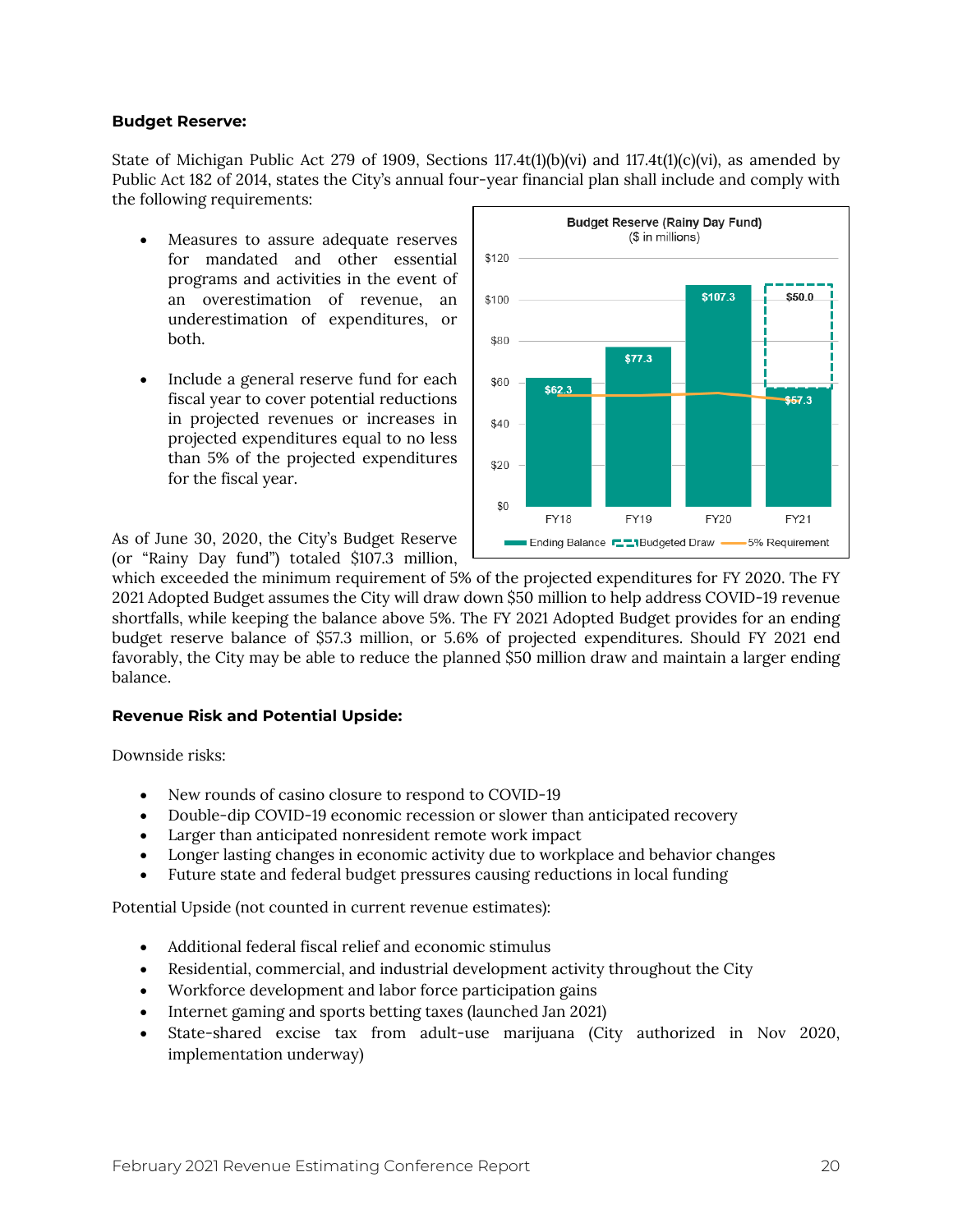#### **Budget Reserve:**

State of Michigan Public Act 279 of 1909, Sections 117.4t(1)(b)(vi) and 117.4t(1)(c)(vi), as amended by Public Act 182 of 2014, states the City's annual four-year financial plan shall include and comply with the following requirements:

- Measures to assure adequate reserves for mandated and other essential programs and activities in the event of an overestimation of revenue, an underestimation of expenditures, or both.
- Include a general reserve fund for each fiscal year to cover potential reductions in projected revenues or increases in projected expenditures equal to no less than 5% of the projected expenditures for the fiscal year.

As of June 30, 2020, the City's Budget Reserve (or "Rainy Day fund") totaled \$107.3 million,



which exceeded the minimum requirement of 5% of the projected expenditures for FY 2020. The FY 2021 Adopted Budget assumes the City will draw down \$50 million to help address COVID-19 revenue shortfalls, while keeping the balance above 5%. The FY 2021 Adopted Budget provides for an ending budget reserve balance of \$57.3 million, or 5.6% of projected expenditures. Should FY 2021 end favorably, the City may be able to reduce the planned \$50 million draw and maintain a larger ending balance.

#### **Revenue Risk and Potential Upside:**

Downside risks:

- New rounds of casino closure to respond to COVID-19
- Double-dip COVID-19 economic recession or slower than anticipated recovery
- Larger than anticipated nonresident remote work impact
- Longer lasting changes in economic activity due to workplace and behavior changes
- Future state and federal budget pressures causing reductions in local funding

Potential Upside (not counted in current revenue estimates):

- Additional federal fiscal relief and economic stimulus
- Residential, commercial, and industrial development activity throughout the City
- Workforce development and labor force participation gains
- Internet gaming and sports betting taxes (launched Jan 2021)
- State-shared excise tax from adult-use marijuana (City authorized in Nov 2020, implementation underway)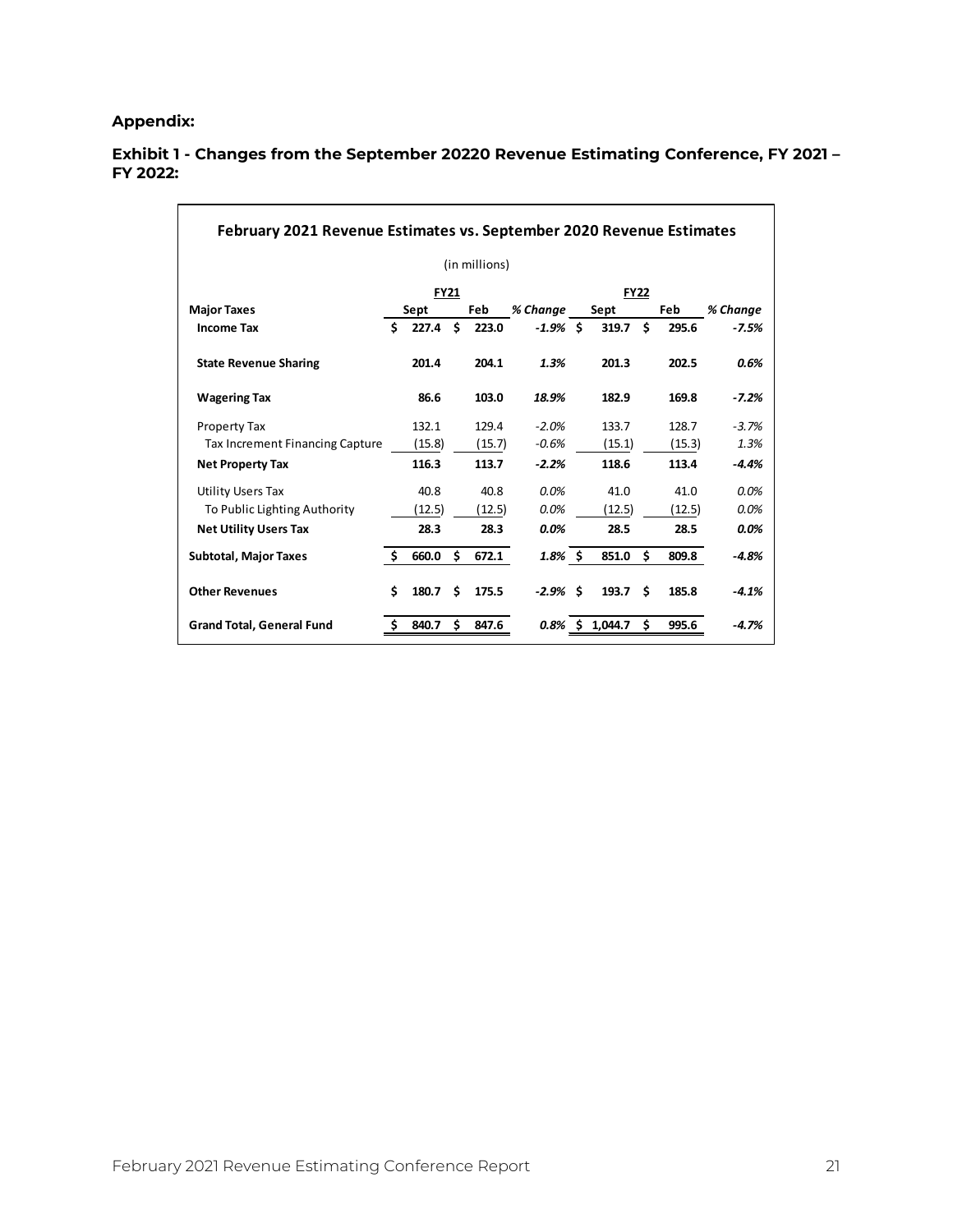## **Appendix:**

|                                 |    |             |     | (in millions) |            |             |     |          |         |
|---------------------------------|----|-------------|-----|---------------|------------|-------------|-----|----------|---------|
|                                 |    | <b>FY21</b> |     |               |            | <b>FY22</b> |     |          |         |
| <b>Major Taxes</b>              |    | Sept        | Feb | % Change      | Sept       |             | Feb | % Change |         |
| <b>Income Tax</b>               | Ś. | 227.4       | Ŝ.  | 223.0         | $-1.9%$ \$ | $319.7$ \$  |     | 295.6    | $-7.5%$ |
| <b>State Revenue Sharing</b>    |    | 201.4       |     | 204.1         | 1.3%       | 201.3       |     | 202.5    | 0.6%    |
| <b>Wagering Tax</b>             |    | 86.6        |     | 103.0         | 18.9%      | 182.9       |     | 169.8    | $-7.2%$ |
| Property Tax                    |    | 132.1       |     | 129.4         | $-2.0%$    | 133.7       |     | 128.7    | $-3.7%$ |
| Tax Increment Financing Capture |    | (15.8)      |     | (15.7)        | $-0.6%$    | (15.1)      |     | (15.3)   | 1.3%    |
| <b>Net Property Tax</b>         |    | 116.3       |     | 113.7         | $-2.2%$    | 118.6       |     | 113.4    | $-4.4%$ |
| <b>Utility Users Tax</b>        |    | 40.8        |     | 40.8          | 0.0%       | 41.0        |     | 41.0     | 0.0%    |
| To Public Lighting Authority    |    | (12.5)      |     | (12.5)        | 0.0%       | (12.5)      |     | (12.5)   | 0.0%    |
| <b>Net Utility Users Tax</b>    |    | 28.3        |     | 28.3          | 0.0%       | 28.5        |     | 28.5     | $0.0\%$ |
| <b>Subtotal, Major Taxes</b>    | Ŝ. | 660.0       | \$. | 672.1         | $1.8\%$ \$ | 851.0       | Ś.  | 809.8    | $-4.8%$ |
| <b>Other Revenues</b>           | Ś  | 180.7       | Ś   | 175.5         | $-2.9%$ \$ | 193.7       | Ŝ   | 185.8    | $-4.1%$ |

#### **Exhibit 1 - Changes from the September 20220 Revenue Estimating Conference, FY 2021 – FY 2022:**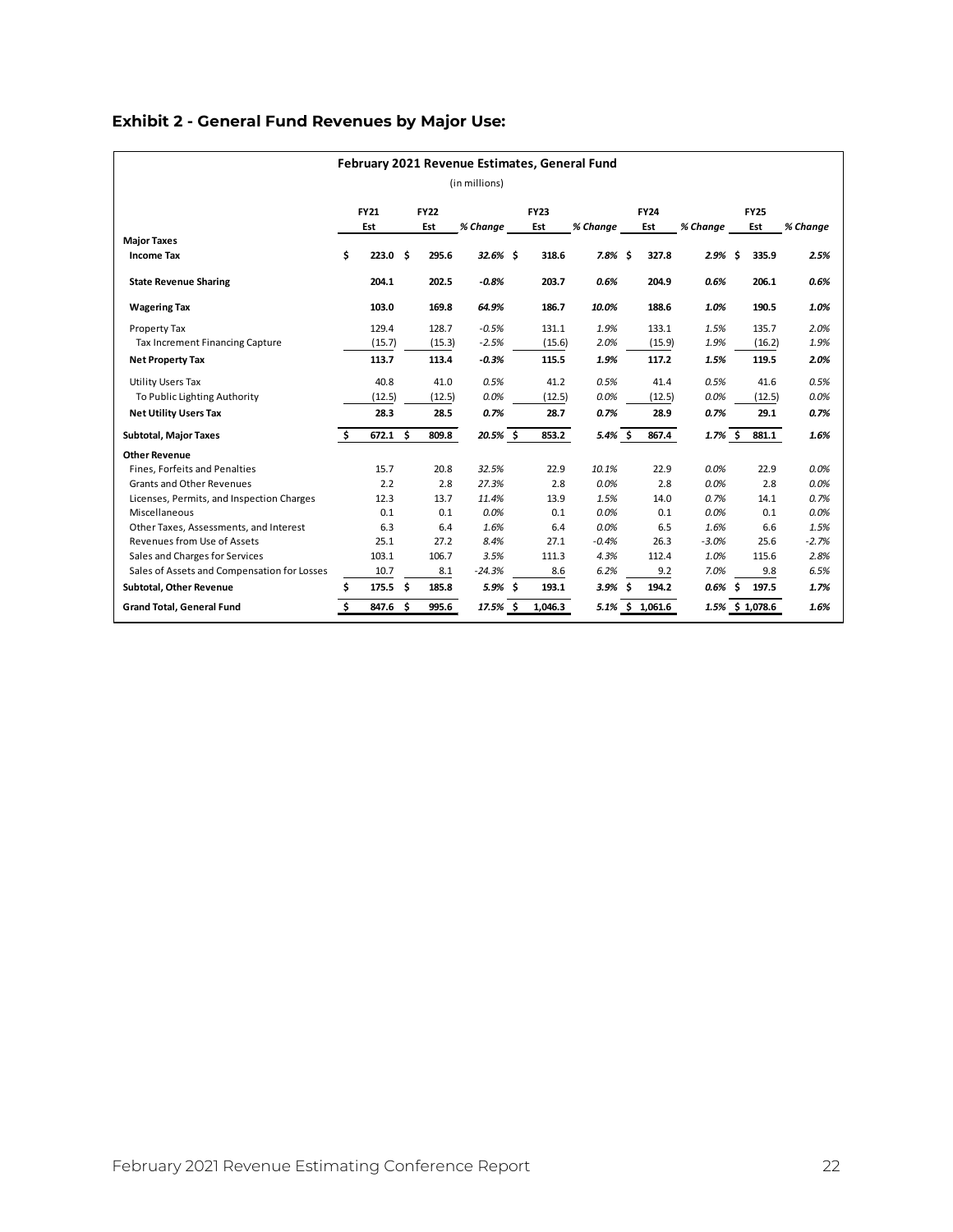# **Exhibit 2 - General Fund Revenues by Major Use:**

| February 2021 Revenue Estimates, General Fund |    |                    |  |             |               |  |             |            |  |             |                 |             |        |          |
|-----------------------------------------------|----|--------------------|--|-------------|---------------|--|-------------|------------|--|-------------|-----------------|-------------|--------|----------|
|                                               |    |                    |  |             | (in millions) |  |             |            |  |             |                 |             |        |          |
|                                               |    | <b>FY21</b>        |  | <b>FY22</b> |               |  | <b>FY23</b> |            |  | <b>FY24</b> |                 | <b>FY25</b> |        |          |
|                                               |    | Est                |  | Est         | % Change      |  | Est         | % Change   |  | Est         | % Change        | Est         |        | % Change |
| <b>Major Taxes</b>                            |    |                    |  |             |               |  |             |            |  |             |                 |             |        |          |
| <b>Income Tax</b>                             | Ś. | 223.0 <sub>5</sub> |  | 295.6       | $32.6%$ \$    |  | 318.6       | $7.8\%$ \$ |  | 327.8       | $2.9%$ \$       |             | 335.9  | 2.5%     |
| <b>State Revenue Sharing</b>                  |    | 204.1              |  | 202.5       | $-0.8%$       |  | 203.7       | 0.6%       |  | 204.9       | 0.6%            |             | 206.1  | 0.6%     |
| <b>Wagering Tax</b>                           |    | 103.0              |  | 169.8       | 64.9%         |  | 186.7       | 10.0%      |  | 188.6       | 1.0%            |             | 190.5  | 1.0%     |
| Property Tax                                  |    | 129.4              |  | 128.7       | $-0.5%$       |  | 131.1       | 1.9%       |  | 133.1       | 1.5%            |             | 135.7  | 2.0%     |
| Tax Increment Financing Capture               |    | (15.7)             |  | (15.3)      | $-2.5%$       |  | (15.6)      | 2.0%       |  | (15.9)      | 1.9%            |             | (16.2) | 1.9%     |
| <b>Net Property Tax</b>                       |    | 113.7              |  | 113.4       | $-0.3%$       |  | 115.5       | 1.9%       |  | 117.2       | 1.5%            |             | 119.5  | 2.0%     |
| <b>Utility Users Tax</b>                      |    | 40.8               |  | 41.0        | 0.5%          |  | 41.2        | 0.5%       |  | 41.4        | 0.5%            |             | 41.6   | 0.5%     |
| To Public Lighting Authority                  |    | (12.5)             |  | (12.5)      | 0.0%          |  | (12.5)      | 0.0%       |  | (12.5)      | 0.0%            |             | (12.5) | 0.0%     |
| <b>Net Utility Users Tax</b>                  |    | 28.3               |  | 28.5        | 0.7%          |  | 28.7        | 0.7%       |  | 28.9        | 0.7%            |             | 29.1   | 0.7%     |
| <b>Subtotal, Major Taxes</b>                  | Ŝ. | $672.1$ \$         |  | 809.8       | 20.5% \$      |  | 853.2       | $5.4\%$ \$ |  | 867.4       | $1.7\%$ \$      |             | 881.1  | 1.6%     |
| <b>Other Revenue</b>                          |    |                    |  |             |               |  |             |            |  |             |                 |             |        |          |
| Fines. Forfeits and Penalties                 |    | 15.7               |  | 20.8        | 32.5%         |  | 22.9        | 10.1%      |  | 22.9        | 0.0%            |             | 22.9   | 0.0%     |
| <b>Grants and Other Revenues</b>              |    | 2.2                |  | 2.8         | 27.3%         |  | 2.8         | 0.0%       |  | 2.8         | 0.0%            |             | 2.8    | 0.0%     |
| Licenses, Permits, and Inspection Charges     |    | 12.3               |  | 13.7        | 11.4%         |  | 13.9        | 1.5%       |  | 14.0        | 0.7%            |             | 14.1   | 0.7%     |
| Miscellaneous                                 |    | 0.1                |  | 0.1         | 0.0%          |  | 0.1         | 0.0%       |  | 0.1         | 0.0%            |             | 0.1    | 0.0%     |
| Other Taxes, Assessments, and Interest        |    | 6.3                |  | 6.4         | 1.6%          |  | 6.4         | 0.0%       |  | 6.5         | 1.6%            |             | 6.6    | 1.5%     |
| Revenues from Use of Assets                   |    | 25.1               |  | 27.2        | 8.4%          |  | 27.1        | $-0.4%$    |  | 26.3        | $-3.0%$         |             | 25.6   | $-2.7%$  |
| Sales and Charges for Services                |    | 103.1              |  | 106.7       | 3.5%          |  | 111.3       | 4.3%       |  | 112.4       | 1.0%            |             | 115.6  | 2.8%     |
| Sales of Assets and Compensation for Losses   |    | 10.7               |  | 8.1         | $-24.3%$      |  | 8.6         | 6.2%       |  | 9.2         | 7.0%            |             | 9.8    | 6.5%     |
| Subtotal, Other Revenue                       | \$ | $175.5$ \$         |  | 185.8       | $5.9\%$ \$    |  | 193.1       | $3.9%$ \$  |  | 194.2       | $0.6\%$ \$      |             | 197.5  | 1.7%     |
| <b>Grand Total, General Fund</b>              | Ś. | 847.6 \$           |  | 995.6       | $17.5%$ \$    |  | 1,046.3     | 5.1%       |  | \$1,061.6   | 1.5% \$ 1,078.6 |             |        | 1.6%     |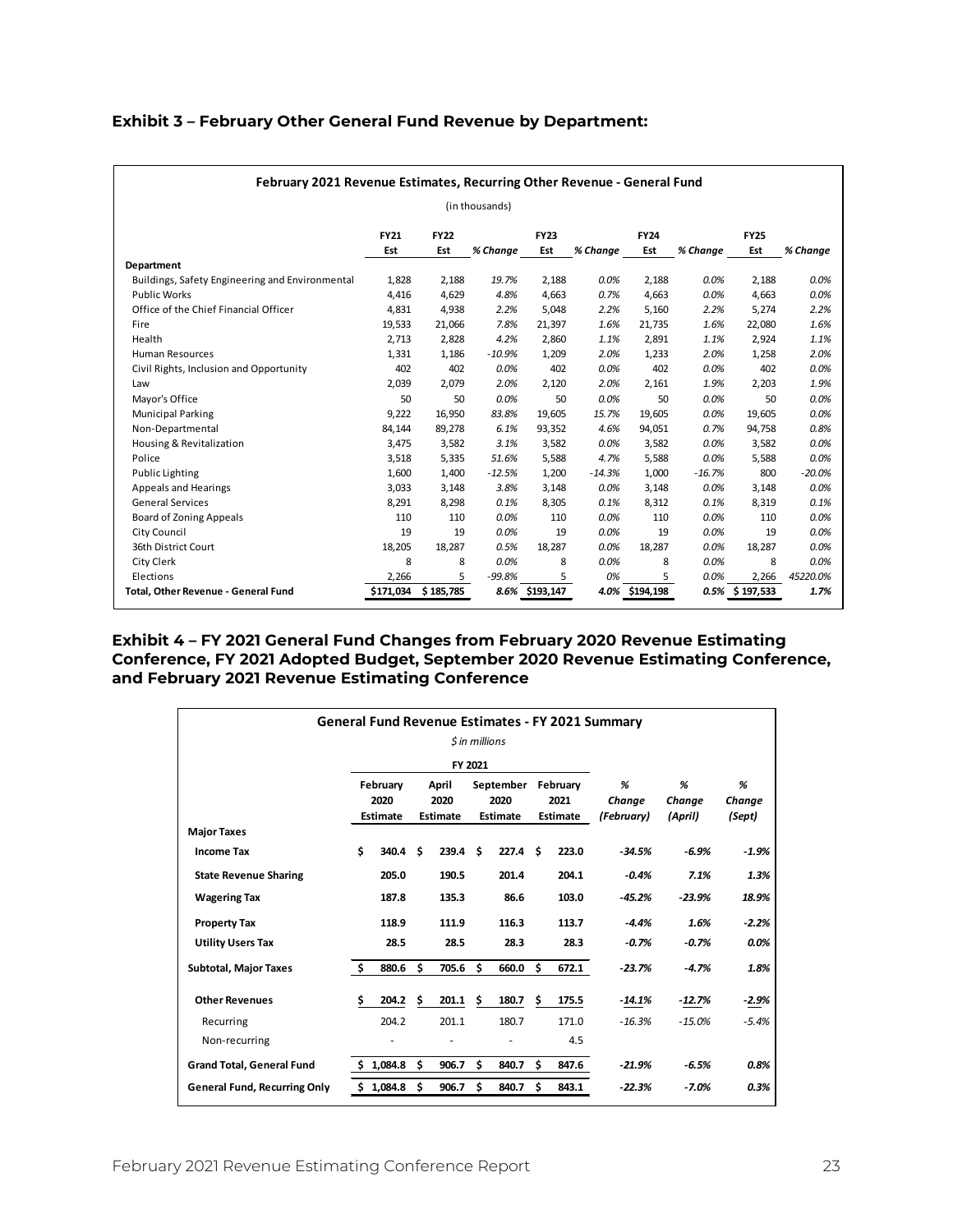| February 2021 Revenue Estimates, Recurring Other Revenue - General Fund |             |             |                |                |          |             |          |                |          |  |  |  |  |
|-------------------------------------------------------------------------|-------------|-------------|----------------|----------------|----------|-------------|----------|----------------|----------|--|--|--|--|
|                                                                         |             |             | (in thousands) |                |          |             |          |                |          |  |  |  |  |
|                                                                         | <b>FY21</b> | <b>FY22</b> |                | <b>FY23</b>    |          | <b>FY24</b> |          | <b>FY25</b>    |          |  |  |  |  |
|                                                                         | Est         | Est         | % Change       | Est            | % Change | Est         | % Change | Est            | % Change |  |  |  |  |
| Department                                                              |             |             |                |                |          |             |          |                |          |  |  |  |  |
| Buildings, Safety Engineering and Environmental                         | 1,828       | 2,188       | 19.7%          | 2,188          | 0.0%     | 2,188       | 0.0%     | 2,188          | 0.0%     |  |  |  |  |
| <b>Public Works</b>                                                     | 4,416       | 4,629       | 4.8%           | 4,663          | 0.7%     | 4,663       | 0.0%     | 4,663          | 0.0%     |  |  |  |  |
| Office of the Chief Financial Officer                                   | 4,831       | 4,938       | 2.2%           | 5,048          | 2.2%     | 5,160       | 2.2%     | 5,274          | 2.2%     |  |  |  |  |
| Fire                                                                    | 19,533      | 21,066      | 7.8%           | 21,397         | 1.6%     | 21,735      | 1.6%     | 22,080         | 1.6%     |  |  |  |  |
| Health                                                                  | 2,713       | 2,828       | 4.2%           | 2,860          | 1.1%     | 2,891       | 1.1%     | 2,924          | 1.1%     |  |  |  |  |
| <b>Human Resources</b>                                                  | 1,331       | 1,186       | $-10.9%$       | 1,209          | 2.0%     | 1,233       | 2.0%     | 1,258          | 2.0%     |  |  |  |  |
| Civil Rights, Inclusion and Opportunity                                 | 402         | 402         | 0.0%           | 402            | 0.0%     | 402         | 0.0%     | 402            | 0.0%     |  |  |  |  |
| Law                                                                     | 2,039       | 2,079       | 2.0%           | 2,120          | 2.0%     | 2,161       | 1.9%     | 2,203          | 1.9%     |  |  |  |  |
| Mayor's Office                                                          | 50          | 50          | 0.0%           | 50             | 0.0%     | 50          | 0.0%     | 50             | 0.0%     |  |  |  |  |
| <b>Municipal Parking</b>                                                | 9,222       | 16,950      | 83.8%          | 19,605         | 15.7%    | 19,605      | 0.0%     | 19,605         | 0.0%     |  |  |  |  |
| Non-Departmental                                                        | 84,144      | 89,278      | 6.1%           | 93,352         | 4.6%     | 94,051      | 0.7%     | 94,758         | 0.8%     |  |  |  |  |
| Housing & Revitalization                                                | 3,475       | 3,582       | 3.1%           | 3,582          | 0.0%     | 3,582       | 0.0%     | 3,582          | 0.0%     |  |  |  |  |
| Police                                                                  | 3,518       | 5,335       | 51.6%          | 5,588          | 4.7%     | 5,588       | 0.0%     | 5,588          | 0.0%     |  |  |  |  |
| Public Lighting                                                         | 1,600       | 1,400       | $-12.5%$       | 1,200          | $-14.3%$ | 1,000       | $-16.7%$ | 800            | $-20.0%$ |  |  |  |  |
| <b>Appeals and Hearings</b>                                             | 3,033       | 3,148       | 3.8%           | 3,148          | 0.0%     | 3,148       | 0.0%     | 3,148          | 0.0%     |  |  |  |  |
| <b>General Services</b>                                                 | 8,291       | 8,298       | 0.1%           | 8,305          | 0.1%     | 8,312       | 0.1%     | 8,319          | 0.1%     |  |  |  |  |
| <b>Board of Zoning Appeals</b>                                          | 110         | 110         | 0.0%           | 110            | 0.0%     | 110         | 0.0%     | 110            | 0.0%     |  |  |  |  |
| City Council                                                            | 19          | 19          | 0.0%           | 19             | 0.0%     | 19          | 0.0%     | 19             | 0.0%     |  |  |  |  |
| 36th District Court                                                     | 18,205      | 18,287      | 0.5%           | 18,287         | 0.0%     | 18,287      | 0.0%     | 18,287         | 0.0%     |  |  |  |  |
| City Clerk                                                              | 8           | 8           | 0.0%           | 8              | 0.0%     | 8           | 0.0%     | 8              | 0.0%     |  |  |  |  |
| Elections                                                               | 2,266       | 5           | $-99.8%$       | 5              | 0%       | 5           | 0.0%     | 2,266          | 45220.0% |  |  |  |  |
| Total, Other Revenue - General Fund                                     | \$171,034   | \$185,785   |                | 8.6% \$193,147 | 4.0%     | \$194,198   |          | 0.5% \$197,533 | 1.7%     |  |  |  |  |

#### **Exhibit 3 – February Other General Fund Revenue by Department:**

#### **Exhibit 4 – FY 2021 General Fund Changes from February 2020 Revenue Estimating Conference, FY 2021 Adopted Budget, September 2020 Revenue Estimating Conference, and February 2021 Revenue Estimating Conference**

| General Fund Revenue Estimates - FY 2021 Summary |     |                  |    |                  |                             |                         |     |                  |                      |                   |                  |  |  |
|--------------------------------------------------|-----|------------------|----|------------------|-----------------------------|-------------------------|-----|------------------|----------------------|-------------------|------------------|--|--|
|                                                  |     |                  |    |                  | <i><b>S</b></i> in millions |                         |     |                  |                      |                   |                  |  |  |
|                                                  |     |                  |    |                  | FY 2021                     |                         |     |                  |                      |                   |                  |  |  |
|                                                  |     | February         |    | April            |                             | September               |     | February         | %                    | %                 | %                |  |  |
|                                                  |     | 2020<br>Estimate |    | 2020<br>Estimate |                             | 2020<br><b>Estimate</b> |     | 2021<br>Estimate | Change<br>(February) | Change<br>(April) | Change<br>(Sept) |  |  |
| <b>Major Taxes</b>                               |     |                  |    |                  |                             |                         |     |                  |                      |                   |                  |  |  |
| <b>Income Tax</b>                                | \$  | 340.4            | \$ | 239.4            | \$                          | 227.4 <sup>5</sup>      |     | 223.0            | $-34.5%$             | $-6.9%$           | $-1.9%$          |  |  |
| <b>State Revenue Sharing</b>                     |     | 205.0            |    | 190.5            |                             | 201.4                   |     | 204.1            | $-0.4%$              | 7.1%              | 1.3%             |  |  |
| <b>Wagering Tax</b>                              |     | 187.8            |    | 135.3            |                             | 86.6                    |     | 103.0            | $-45.2%$             | $-23.9%$          | 18.9%            |  |  |
| <b>Property Tax</b>                              |     | 118.9            |    | 111.9            |                             | 116.3                   |     | 113.7            | $-4.4%$              | 1.6%              | $-2.2%$          |  |  |
| <b>Utility Users Tax</b>                         |     | 28.5             |    | 28.5             |                             | 28.3                    |     | 28.3             | $-0.7%$              | $-0.7%$           | 0.0%             |  |  |
| <b>Subtotal, Major Taxes</b>                     | - Ś | 880.6            | \$ | 705.6            | \$                          | 660.0                   | \$. | 672.1            | $-23.7%$             | $-4.7%$           | 1.8%             |  |  |
| <b>Other Revenues</b>                            | \$  | 204.2            | \$ | 201.1            | \$                          | 180.7                   | \$  | 175.5            | $-14.1%$             | $-12.7%$          | $-2.9%$          |  |  |
| Recurring                                        |     | 204.2            |    | 201.1            |                             | 180.7                   |     | 171.0            | $-16.3%$             | $-15.0%$          | $-5.4%$          |  |  |
| Non-recurring                                    |     |                  |    |                  |                             |                         |     | 4.5              |                      |                   |                  |  |  |
| <b>Grand Total, General Fund</b>                 | \$. | 1,084.8          | \$ | 906.7            | \$                          | 840.7                   | \$  | 847.6            | $-21.9%$             | $-6.5%$           | 0.8%             |  |  |
| <b>General Fund, Recurring Only</b>              | \$  | 1,084.8          | \$ | 906.7            | \$                          | 840.7                   | \$  | 843.1            | $-22.3%$             | $-7.0%$           | 0.3%             |  |  |